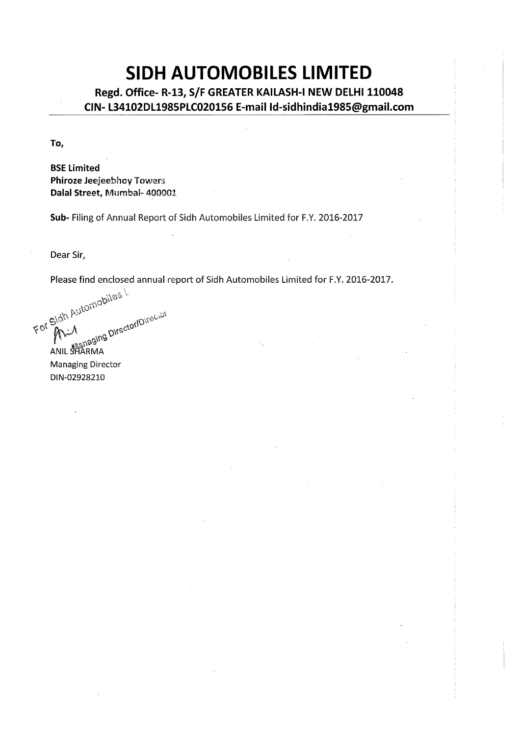# **SIDH AUTOMOBILES LIMITED**

Regd. Office-R-13, S/F GREATER KAILASH-I NEW DELHI 110048 CIN-L34102DL1985PLC020156 E-mail Id-sidhindia1985@gmail.com

To,

**BSE Limited Phiroze Jeejeebhoy Towers** Dalal Street, Mumbai- 400001

Sub- Filing of Annual Report of Sidh Automobiles Limited for F.Y. 2016-2017

Dear Sir,

Please find enclosed annual report of Sidh Automobiles Limited for F.Y. 2016-2017.

Secret Stute Automobiles **Example 2018**<br>ANIL SHARMA<br>Managing

DIN-02928210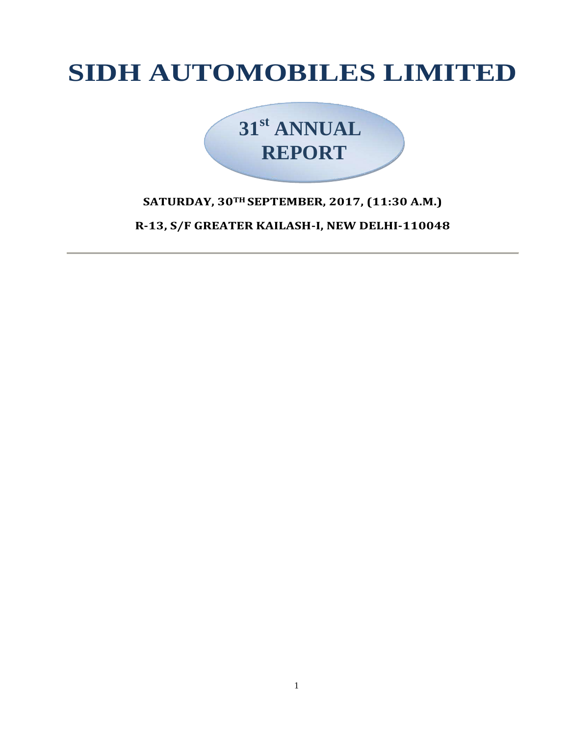# **SIDH AUTOMOBILES LIMITED**



# **SATURDAY, 30TH SEPTEMBER, 2017, (11:30 A.M.)**

**R-13, S/F GREATER KAILASH-I, NEW DELHI-110048**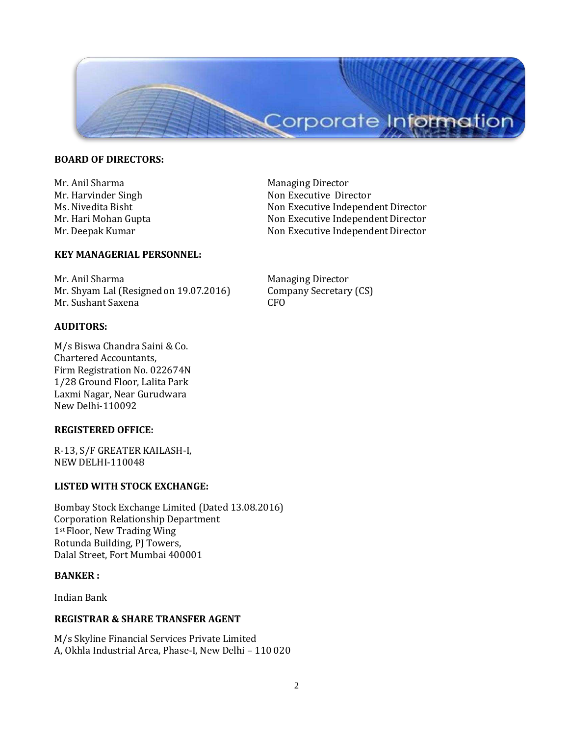

# **BOARD OF DIRECTORS:**

Mr. Anil Sharma Managing Director

# **KEY MANAGERIAL PERSONNEL:**

Mr. Anil Sharma **Managing Director** Mr. Shyam Lal (Resigned on 19.07.2016) Company Secretary (CS) Mr. Sushant Saxena CFO

# **AUDITORS:**

M/s Biswa Chandra Saini & Co. Chartered Accountants, Firm Registration No. 022674N 1/28 Ground Floor, Lalita Park Laxmi Nagar, Near Gurudwara New Delhi-110092

# **REGISTERED OFFICE:**

R-13, S/F GREATER KAILASH-I, NEW DELHI-110048

# **LISTED WITH STOCK EXCHANGE:**

Bombay Stock Exchange Limited (Dated 13.08.2016) Corporation Relationship Department 1st Floor, New Trading Wing Rotunda Building, PJ Towers, Dalal Street, Fort Mumbai 400001

#### **BANKER :**

Indian Bank

# **REGISTRAR & SHARE TRANSFER AGENT**

M/s Skyline Financial Services Private Limited A, Okhla Industrial Area, Phase-I, New Delhi – 110 020

Mr. Harvinder Singh Non Executive Director Ms. Nivedita Bisht Non Executive Independent Director Mr. Hari Mohan Gupta Non Executive Independent Director Mr. Deepak Kumar Non Executive Independent Director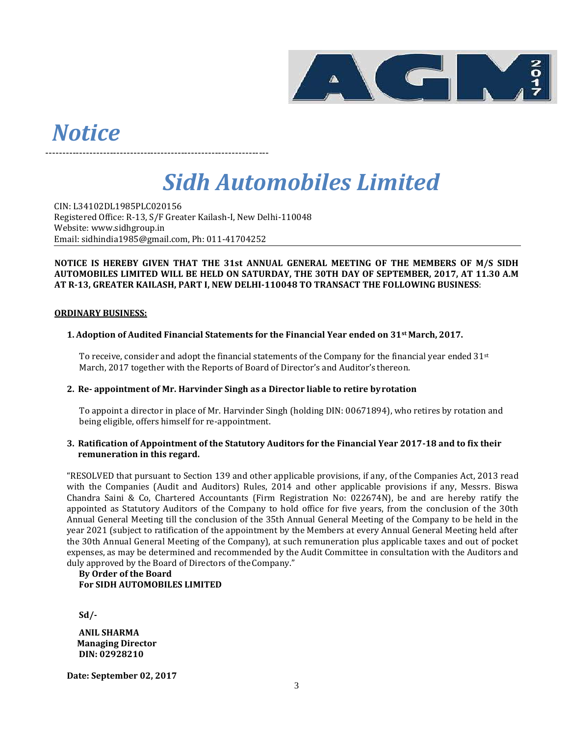

# *Notice*

*Sidh Automobiles Limited*

CIN: L34102DL1985PLC020156 Registered Office: R-13, S/F Greater Kailash-I, New Delhi-110048 Website: [www.sidhgroup.in](http://www.sidhgroup.in/) Email: [sidhindia1985@gmail.com, P](mailto:sidhindia1985@gmail.com)h: 011-41704252

------------------------------------------------------------------

#### **NOTICE IS HEREBY GIVEN THAT THE 31st ANNUAL GENERAL MEETING OF THE MEMBERS OF M/S SIDH AUTOMOBILES LIMITED WILL BE HELD ON SATURDAY, THE 30TH DAY OF SEPTEMBER, 2017, AT 11.30 A.M AT R-13, GREATER KAILASH, PART I, NEW DELHI-110048 TO TRANSACT THE FOLLOWING BUSINESS**:

# **ORDINARY BUSINESS:**

# **1. Adoption of Audited Financial Statements for the Financial Year ended on 31st March, 2017.**

To receive, consider and adopt the financial statements of the Company for the financial year ended  $31st$ March, 2017 together with the Reports of Board of Director's and Auditor's thereon.

#### **2. Re- appointment of Mr. Harvinder Singh as a Director liable to retire byrotation**

To appoint a director in place of Mr. Harvinder Singh (holding DIN: 00671894), who retires by rotation and being eligible, offers himself for re-appointment.

#### **3. Ratification of Appointment of the Statutory Auditors for the Financial Year 2017-18 and to fix their remuneration in this regard.**

"RESOLVED that pursuant to Section 139 and other applicable provisions, if any, of the Companies Act, 2013 read with the Companies (Audit and Auditors) Rules, 2014 and other applicable provisions if any, Messrs. Biswa Chandra Saini & Co, Chartered Accountants (Firm Registration No: 022674N), be and are hereby ratify the appointed as Statutory Auditors of the Company to hold office for five years, from the conclusion of the 30th Annual General Meeting till the conclusion of the 35th Annual General Meeting of the Company to be held in the year 2021 (subject to ratification of the appointment by the Members at every Annual General Meeting held after the 30th Annual General Meeting of the Company), at such remuneration plus applicable taxes and out of pocket expenses, as may be determined and recommended by the Audit Committee in consultation with the Auditors and duly approved by the Board of Directors of the Company."

#### **By Order of the Board For SIDH AUTOMOBILES LIMITED**

**Sd/-**

**ANIL SHARMA Managing Director DIN: 02928210**

**Date: September 02, 2017**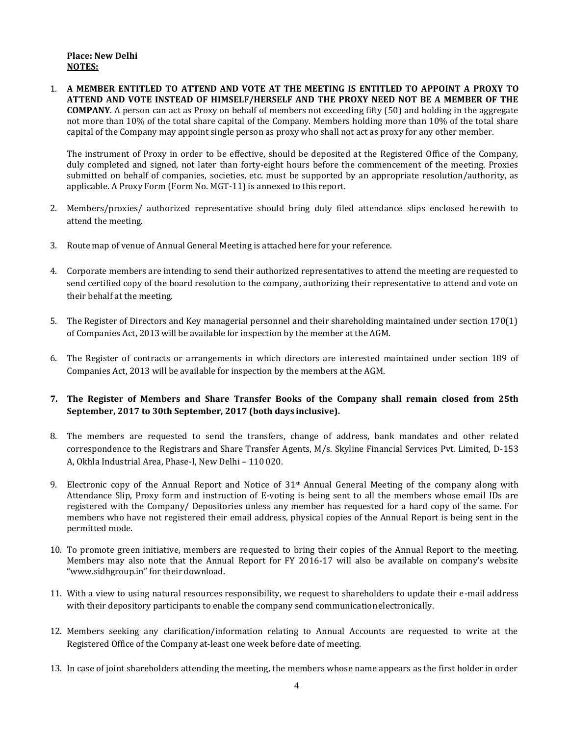1. **A MEMBER ENTITLED TO ATTEND AND VOTE AT THE MEETING IS ENTITLED TO APPOINT A PROXY TO ATTEND AND VOTE INSTEAD OF HIMSELF/HERSELF AND THE PROXY NEED NOT BE A MEMBER OF THE COMPANY**. A person can act as Proxy on behalf of members not exceeding fifty (50) and holding in the aggregate not more than 10% of the total share capital of the Company. Members holding more than 10% of the total share capital of the Company may appoint single person as proxy who shall not act as proxy for any other member.

The instrument of Proxy in order to be effective, should be deposited at the Registered Office of the Company, duly completed and signed, not later than forty-eight hours before the commencement of the meeting. Proxies submitted on behalf of companies, societies, etc. must be supported by an appropriate resolution/authority, as applicable. A Proxy Form (Form No. MGT-11) is annexed to this report.

- 2. Members/proxies/ authorized representative should bring duly filed attendance slips enclosed herewith to attend the meeting.
- 3. Route map of venue of Annual General Meeting is attached here for your reference.
- 4. Corporate members are intending to send their authorized representatives to attend the meeting are requested to send certified copy of the board resolution to the company, authorizing their representative to attend and vote on their behalf at the meeting.
- 5. The Register of Directors and Key managerial personnel and their shareholding maintained under section 170(1) of Companies Act, 2013 will be available for inspection by the member at the AGM.
- 6. The Register of contracts or arrangements in which directors are interested maintained under section 189 of Companies Act, 2013 will be available for inspection by the members at the AGM.
- **7. The Register of Members and Share Transfer Books of the Company shall remain closed from 25th September, 2017 to 30th September, 2017 (both days inclusive).**
- 8. The members are requested to send the transfers, change of address, bank mandates and other related correspondence to the Registrars and Share Transfer Agents, M/s. Skyline Financial Services Pvt. Limited, D-153 A, Okhla Industrial Area, Phase-I, New Delhi – 110 020.
- 9. Electronic copy of the Annual Report and Notice of  $31<sup>st</sup>$  Annual General Meeting of the company along with Attendance Slip, Proxy form and instruction of E-voting is being sent to all the members whose email IDs are registered with the Company/ Depositories unless any member has requested for a hard copy of the same. For members who have not registered their email address, physical copies of the Annual Report is being sent in the permitted mode.
- 10. To promote green initiative, members are requested to bring their copies of the Annual Report to the meeting. Members may also note that the Annual Report for FY 2016-17 will also be available on company's website "[www.sidhgroup.in](http://www.sidhgroup.in/)" for their download.
- 11. With a view to using natural resources responsibility, we request to shareholders to update their e-mail address with their depository participants to enable the company send communicationelectronically.
- 12. Members seeking any clarification/information relating to Annual Accounts are requested to write at the Registered Office of the Company at-least one week before date of meeting.
- 13. In case of joint shareholders attending the meeting, the members whose name appears as the first holder in order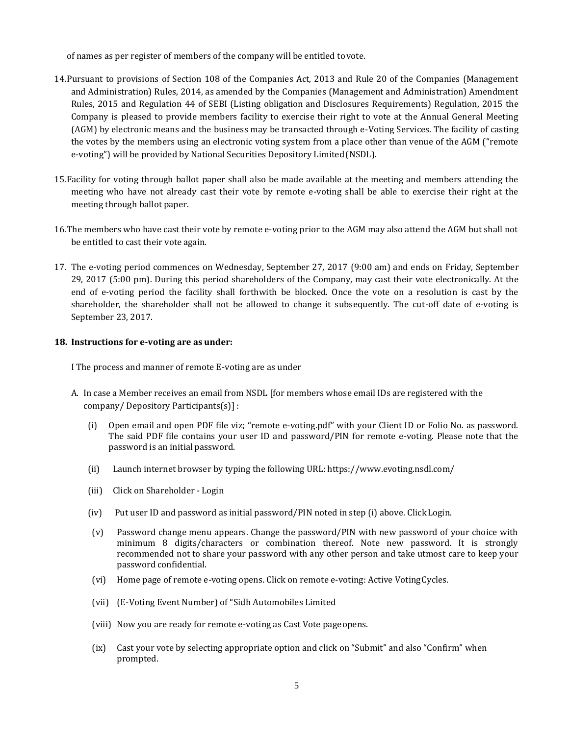of names as per register of members of the company will be entitled tovote.

- 14.Pursuant to provisions of Section 108 of the Companies Act, 2013 and Rule 20 of the Companies (Management and Administration) Rules, 2014, as amended by the Companies (Management and Administration) Amendment Rules, 2015 and Regulation 44 of SEBI (Listing obligation and Disclosures Requirements) Regulation, 2015 the Company is pleased to provide members facility to exercise their right to vote at the Annual General Meeting (AGM) by electronic means and the business may be transacted through e-Voting Services. The facility of casting the votes by the members using an electronic voting system from a place other than venue of the AGM ("remote e-voting") will be provided by National Securities Depository Limited(NSDL).
- 15.Facility for voting through ballot paper shall also be made available at the meeting and members attending the meeting who have not already cast their vote by remote e-voting shall be able to exercise their right at the meeting through ballot paper.
- 16.The members who have cast their vote by remote e-voting prior to the AGM may also attend the AGM but shall not be entitled to cast their vote again.
- 17. The e-voting period commences on Wednesday, September 27, 2017 (9:00 am) and ends on Friday, September 29, 2017 (5:00 pm). During this period shareholders of the Company, may cast their vote electronically. At the end of e-voting period the facility shall forthwith be blocked. Once the vote on a resolution is cast by the shareholder, the shareholder shall not be allowed to change it subsequently. The cut-off date of e-voting is September 23, 2017.

# **18. Instructions for e-voting are as under:**

I The process and manner of remote E-voting are as under

- A. In case a Member receives an email from NSDL [for members whose email IDs are registered with the company/ Depository Participants(s)] :
	- (i) Open email and open PDF file viz; "remote e-voting.pdf" with your Client ID or Folio No. as password. The said PDF file contains your user ID and password/PIN for remote e-voting. Please note that the password is an initial password.
	- (ii) Launch internet browser by typing the following URL: <https://www.evoting.nsdl.com/>
	- (iii) Click on Shareholder Login
	- (iv) Put user ID and password as initial password/PIN noted in step (i) above. ClickLogin.
	- (v) Password change menu appears. Change the password/PIN with new password of your choice with minimum 8 digits/characters or combination thereof. Note new password. It is strongly recommended not to share your password with any other person and take utmost care to keep your password confidential.
	- (vi) Home page of remote e-voting opens. Click on remote e-voting: Active VotingCycles.
	- (vii) (E-Voting Event Number) of "Sidh Automobiles Limited
	- (viii) Now you are ready for remote e-voting as Cast Vote pageopens.
	- (ix) Cast your vote by selecting appropriate option and click on "Submit" and also "Confirm" when prompted.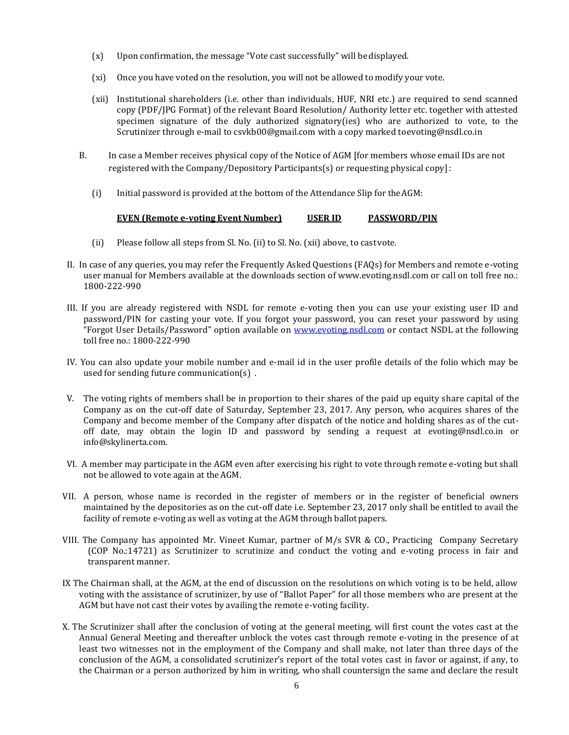- (x) Upon confirmation, the message "Vote cast successfully" will bedisplayed.
- (xi) Once you have voted on the resolution, you will not be allowed to modify your vote.
- (xii) Institutional shareholders (i.e. other than individuals, HUF, NRI etc.) are required to send scanned copy (PDF/JPG Format) of the relevant Board Resolution/ Authority letter etc. together with attested specimen signature of the duly authorized signatory(ies) who are authorized to vote, to the Scrutinizer through e-mail to [csvkb00@gmail.com](mailto:csvkb00@gmail.com) with a copy marked t[oevoting@nsdl.co.in](mailto:evoting@nsdl.co.in)
- B. In case a Member receives physical copy of the Notice of AGM [for members whose email IDs are not registered with the Company/Depository Participants(s) or requesting physical copy]:
	- (i) Initial password is provided at the bottom of the Attendance Slip for theAGM:

#### **EVEN (Remote e-voting Event Number) USER ID PASSWORD/PIN**

- (ii) Please follow all steps from Sl. No. (ii) to Sl. No. (xii) above, to castvote.
- II. In case of any queries, you may refer the Frequently Asked Questions (FAQs) for Members and remote e-voting user manual for Members available at the downloads section of [www.evoting.nsdl.com o](http://www.evoting.nsdl.com/)r call on toll free no.: 1800-222-990
- III. If you are already registered with NSDL for remote e-voting then you can use your existing user ID and password/PIN for casting your vote. If you forgot your password, you can reset your password by using "Forgot User Details/Password" option available on [www.evoting.nsdl.com](http://www.evoting.nsdl.com/) or contact NSDL at the following toll free no.: 1800-222-990
- IV. You can also update your mobile number and e-mail id in the user profile details of the folio which may be used for sending future communication(s) .
- V. The voting rights of members shall be in proportion to their shares of the paid up equity share capital of the Company as on the cut-off date of Saturday, September 23, 2017. Any person, who acquires shares of the Company and become member of the Company after dispatch of the notice and holding shares as of the cutoff date, may obtain the login ID and password by sending a request at evoting@nsdl.co.in o[r](mailto:info@skylinerta.com) [info@skylinerta.com.](mailto:info@skylinerta.com)
- VI. A member may participate in the AGM even after exercising his right to vote through remote e-voting but shall not be allowed to vote again at theAGM.
- VII. A person, whose name is recorded in the register of members or in the register of beneficial owners maintained by the depositories as on the cut-off date i.e. September 23, 2017 only shall be entitled to avail the facility of remote e-voting as well as voting at the AGM through ballotpapers.
- VIII. The Company has appointed Mr. Vineet Kumar, partner of M/s SVR & CO., Practicing Company Secretary (COP No.:14721) as Scrutinizer to scrutinize and conduct the voting and e-voting process in fair and transparent manner.
- IX The Chairman shall, at the AGM, at the end of discussion on the resolutions on which voting is to be held, allow voting with the assistance of scrutinizer, by use of "Ballot Paper" for all those members who are present at the AGM but have not cast their votes by availing the remote e-voting facility.
- X. The Scrutinizer shall after the conclusion of voting at the general meeting, will first count the votes cast at the Annual General Meeting and thereafter unblock the votes cast through remote e-voting in the presence of at least two witnesses not in the employment of the Company and shall make, not later than three days of the conclusion of the AGM, a consolidated scrutinizer's report of the total votes cast in favor or against, if any, to the Chairman or a person authorized by him in writing, who shall countersign the same and declare the result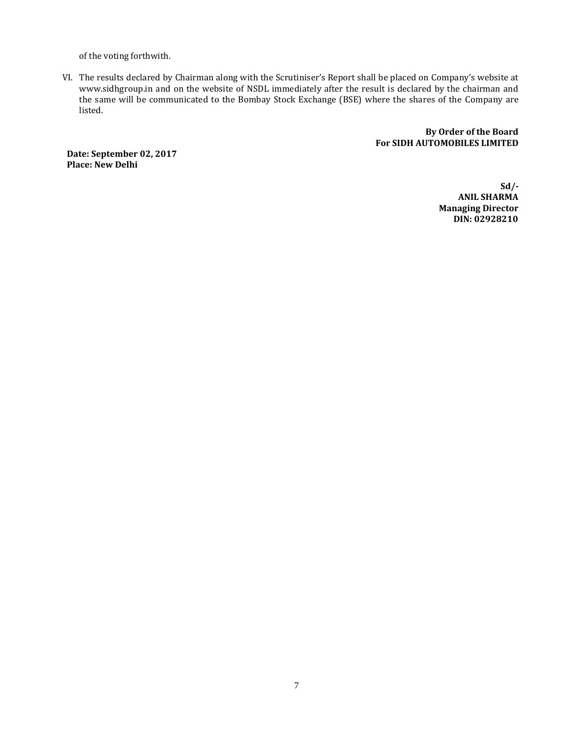of the voting forthwith.

VI. The results declared by Chairman along with the Scrutiniser's Report shall be placed on Company's website a[t](http://www.sidhgroup.in/) [www.sidhgroup.in](http://www.sidhgroup.in/) and on the website of NSDL immediately after the result is declared by the chairman and the same will be communicated to the Bombay Stock Exchange (BSE) where the shares of the Company are listed.

> **By Order of the Board For SIDH AUTOMOBILES LIMITED**

**Date: September 02, 2017 Place: New Delhi**

> **Sd/- ANIL SHARMA Managing Director DIN: 02928210**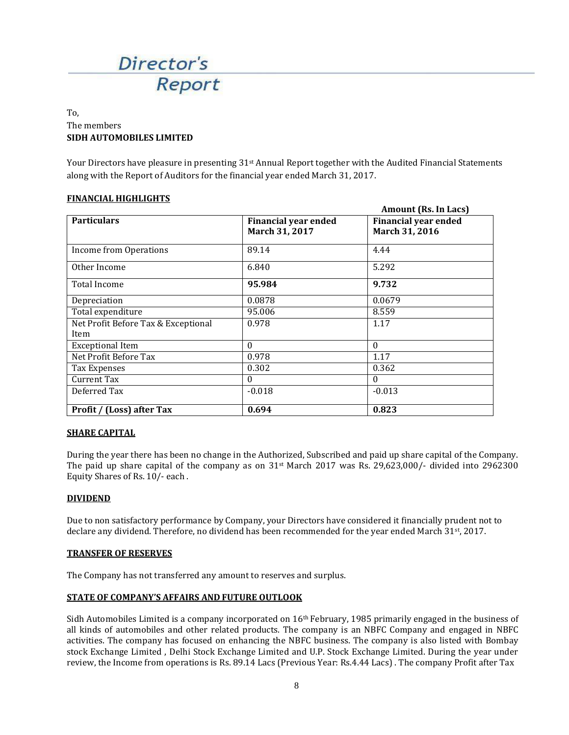

# To, The members **SIDH AUTOMOBILES LIMITED**

Your Directors have pleasure in presenting 31<sup>st</sup> Annual Report together with the Audited Financial Statements along with the Report of Auditors for the financial year ended March 31, 2017.

 $\overline{R}$ 

# **FINANCIAL HIGHLIGHTS**

| <b>Particulars</b>                  | <b>Financial year ended</b> | Amount (RS. In Lacs)<br><b>Financial year ended</b> |  |
|-------------------------------------|-----------------------------|-----------------------------------------------------|--|
|                                     | March 31, 2017              | March 31, 2016                                      |  |
| Income from Operations              | 89.14                       | 4.44                                                |  |
| Other Income                        | 6.840                       | 5.292                                               |  |
| Total Income                        | 95.984                      | 9.732                                               |  |
| Depreciation                        | 0.0878                      | 0.0679                                              |  |
| Total expenditure                   | 95.006                      | 8.559                                               |  |
| Net Profit Before Tax & Exceptional | 0.978                       | 1.17                                                |  |
| Item                                |                             |                                                     |  |
| <b>Exceptional Item</b>             | $\Omega$                    | $\Omega$                                            |  |
| Net Profit Before Tax               | 0.978                       | 1.17                                                |  |
| Tax Expenses                        | 0.302                       | 0.362                                               |  |
| Current Tax                         | $\theta$                    | $\Omega$                                            |  |
| Deferred Tax                        | $-0.018$                    | $-0.013$                                            |  |
| <b>Profit / (Loss) after Tax</b>    | 0.694                       | 0.823                                               |  |

#### **SHARE CAPITAL**

During the year there has been no change in the Authorized, Subscribed and paid up share capital of the Company. The paid up share capital of the company as on  $31<sup>st</sup>$  March 2017 was Rs. 29,623,000/- divided into 2962300 Equity Shares of Rs. 10/- each .

#### **DIVIDEND**

Due to non satisfactory performance by Company, your Directors have considered it financially prudent not to declare any dividend. Therefore, no dividend has been recommended for the year ended March 31st, 2017.

#### **TRANSFER OF RESERVES**

The Company has not transferred any amount to reserves and surplus.

#### **STATE OF COMPANY'S AFFAIRS AND FUTURE OUTLOOK**

Sidh Automobiles Limited is a company incorporated on  $16<sup>th</sup>$  February, 1985 primarily engaged in the business of all kinds of automobiles and other related products. The company is an NBFC Company and engaged in NBFC activities. The company has focused on enhancing the NBFC business. The company is also listed with Bombay stock Exchange Limited , Delhi Stock Exchange Limited and U.P. Stock Exchange Limited. During the year under review, the Income from operations is Rs. 89.14 Lacs (Previous Year: Rs.4.44 Lacs) . The company Profit after Tax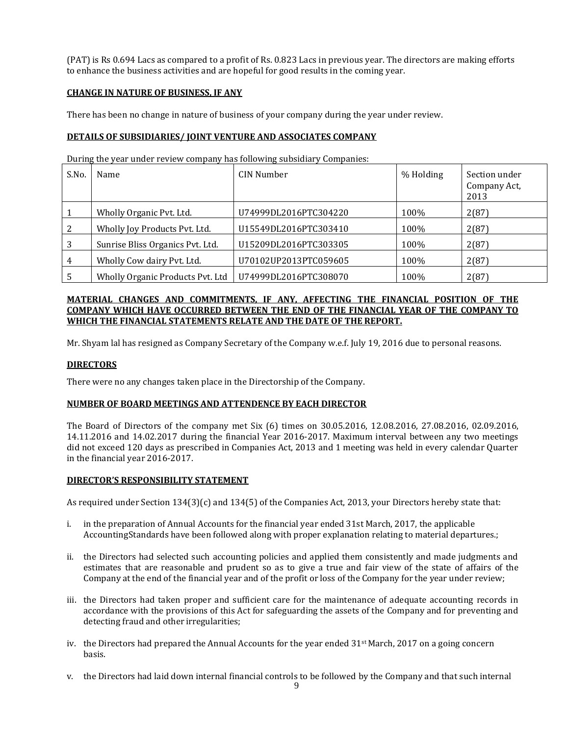(PAT) is Rs 0.694 Lacs as compared to a profit of Rs. 0.823 Lacs in previous year. The directors are making efforts to enhance the business activities and are hopeful for good results in the coming year.

# **CHANGE IN NATURE OF BUSINESS, IF ANY**

There has been no change in nature of business of your company during the year under review.

# **DETAILS OF SUBSIDIARIES/ JOINT VENTURE AND ASSOCIATES COMPANY**

During the year under review company has following subsidiary Companies:

| S.No. | Name                             | CIN Number            | % Holding | Section under<br>Company Act,<br>2013 |
|-------|----------------------------------|-----------------------|-----------|---------------------------------------|
|       | Wholly Organic Pvt. Ltd.         | U74999DL2016PTC304220 | 100%      | 2(87)                                 |
|       | Wholly Joy Products Pvt. Ltd.    | U15549DL2016PTC303410 | 100%      | 2(87)                                 |
|       | Sunrise Bliss Organics Pvt. Ltd. | U15209DL2016PTC303305 | 100%      | 2(87)                                 |
| 4     | Wholly Cow dairy Pvt. Ltd.       | U70102UP2013PTC059605 | 100%      | 2(87)                                 |
|       | Wholly Organic Products Pvt. Ltd | U74999DL2016PTC308070 | 100%      | 2(87)                                 |

# **MATERIAL CHANGES AND COMMITMENTS, IF ANY, AFFECTING THE FINANCIAL POSITION OF THE COMPANY WHICH HAVE OCCURRED BETWEEN THE END OF THE FINANCIAL YEAR OF THE COMPANY TO WHICH THE FINANCIAL STATEMENTS RELATE AND THE DATE OF THE REPORT.**

Mr. Shyam lal has resigned as Company Secretary of the Company w.e.f. July 19, 2016 due to personal reasons.

### **DIRECTORS**

There were no any changes taken place in the Directorship of the Company.

#### **NUMBER OF BOARD MEETINGS AND ATTENDENCE BY EACH DIRECTOR**

The Board of Directors of the company met Six (6) times on 30.05.2016, 12.08.2016, 27.08.2016, 02.09.2016, 14.11.2016 and 14.02.2017 during the financial Year 2016-2017. Maximum interval between any two meetings did not exceed 120 days as prescribed in Companies Act, 2013 and 1 meeting was held in every calendar Quarter in the financial year 2016-2017.

#### **DIRECTOR'S RESPONSIBILITY STATEMENT**

As required under Section 134(3)(c) and 134(5) of the Companies Act, 2013, your Directors hereby state that:

- i. in the preparation of Annual Accounts for the financial year ended 31st March, 2017, the applicable AccountingStandards have been followed along with proper explanation relating to material departures.;
- ii. the Directors had selected such accounting policies and applied them consistently and made judgments and estimates that are reasonable and prudent so as to give a true and fair view of the state of affairs of the Company at the end of the financial year and of the profit or loss of the Company for the year under review;
- iii. the Directors had taken proper and sufficient care for the maintenance of adequate accounting records in accordance with the provisions of this Act for safeguarding the assets of the Company and for preventing and detecting fraud and other irregularities;
- iv. the Directors had prepared the Annual Accounts for the year ended 31<sup>st</sup> March, 2017 on a going concern basis.
- v. the Directors had laid down internal financial controls to be followed by the Company and that such internal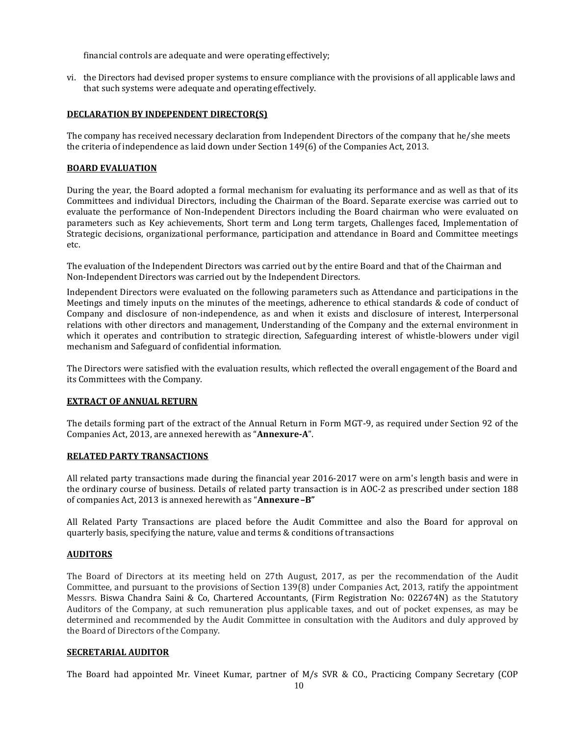financial controls are adequate and were operating effectively;

vi. the Directors had devised proper systems to ensure compliance with the provisions of all applicable laws and that such systems were adequate and operatingeffectively.

#### **DECLARATION BY INDEPENDENT DIRECTOR(S)**

The company has received necessary declaration from Independent Directors of the company that he/she meets the criteria of independence as laid down under Section 149(6) of the Companies Act, 2013.

#### **BOARD EVALUATION**

During the year, the Board adopted a formal mechanism for evaluating its performance and as well as that of its Committees and individual Directors, including the Chairman of the Board. Separate exercise was carried out to evaluate the performance of Non-Independent Directors including the Board chairman who were evaluated on parameters such as Key achievements, Short term and Long term targets, Challenges faced, Implementation of Strategic decisions, organizational performance, participation and attendance in Board and Committee meetings etc.

The evaluation of the Independent Directors was carried out by the entire Board and that of the Chairman and Non-Independent Directors was carried out by the Independent Directors.

Independent Directors were evaluated on the following parameters such as Attendance and participations in the Meetings and timely inputs on the minutes of the meetings, adherence to ethical standards & code of conduct of Company and disclosure of non-independence, as and when it exists and disclosure of interest, Interpersonal relations with other directors and management, Understanding of the Company and the external environment in which it operates and contribution to strategic direction, Safeguarding interest of whistle-blowers under vigil mechanism and Safeguard of confidential information.

The Directors were satisfied with the evaluation results, which reflected the overall engagement of the Board and its Committees with the Company.

#### **EXTRACT OF ANNUAL RETURN**

The details forming part of the extract of the Annual Return in Form MGT-9, as required under Section 92 of the Companies Act, 2013, are annexed herewith as "**Annexure-A**".

#### **RELATED PARTY TRANSACTIONS**

All related party transactions made during the financial year 2016-2017 were on arm's length basis and were in the ordinary course of business. Details of related party transaction is in AOC-2 as prescribed under section 188 of companies Act, 2013 is annexed herewith as "**Annexure–B"**

All Related Party Transactions are placed before the Audit Committee and also the Board for approval on quarterly basis, specifying the nature, value and terms & conditions of transactions

#### **AUDITORS**

The Board of Directors at its meeting held on 27th August, 2017, as per the recommendation of the Audit Committee, and pursuant to the provisions of Section 139(8) under Companies Act, 2013, ratify the appointment Messrs. Biswa Chandra Saini & Co, Chartered Accountants, (Firm Registration No: 022674N) as the Statutory Auditors of the Company, at such remuneration plus applicable taxes, and out of pocket expenses, as may be determined and recommended by the Audit Committee in consultation with the Auditors and duly approved by the Board of Directors of the Company.

#### **SECRETARIAL AUDITOR**

The Board had appointed Mr. Vineet Kumar, partner of M/s SVR & CO., Practicing Company Secretary (COP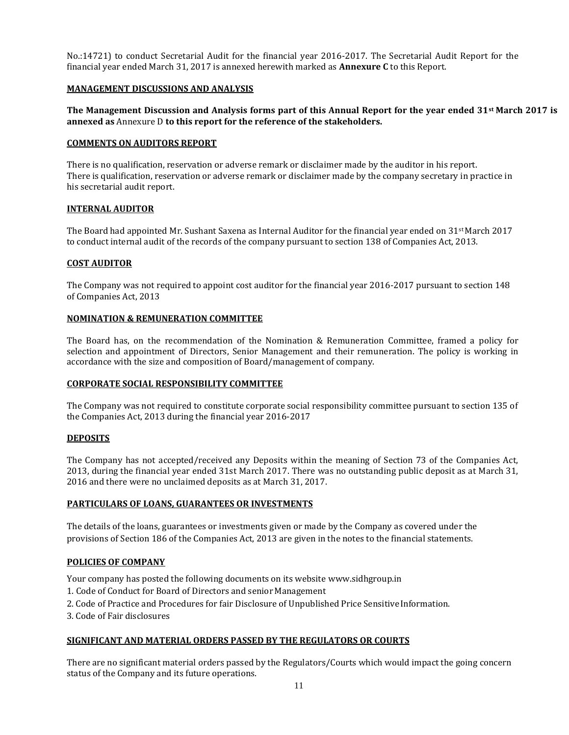No.:14721) to conduct Secretarial Audit for the financial year 2016-2017. The Secretarial Audit Report for the financial year ended March 31, 2017 is annexed herewith marked as **Annexure C** to this Report.

#### **MANAGEMENT DISCUSSIONS AND ANALYSIS**

#### **The Management Discussion and Analysis forms part of this Annual Report for the year ended 31st March 2017 is annexed as** Annexure D **to this report for the reference of the stakeholders.**

#### **COMMENTS ON AUDITORS REPORT**

There is no qualification, reservation or adverse remark or disclaimer made by the auditor in his report. There is qualification, reservation or adverse remark or disclaimer made by the company secretary in practice in his secretarial audit report.

#### **INTERNAL AUDITOR**

The Board had appointed Mr. Sushant Saxena as Internal Auditor for the financial year ended on  $31$ <sup>st</sup> March 2017 to conduct internal audit of the records of the company pursuant to section 138 of Companies Act, 2013.

#### **COST AUDITOR**

The Company was not required to appoint cost auditor for the financial year 2016-2017 pursuant to section 148 of Companies Act, 2013

#### **NOMINATION & REMUNERATION COMMITTEE**

The Board has, on the recommendation of the Nomination & Remuneration Committee, framed a policy for selection and appointment of Directors, Senior Management and their remuneration. The policy is working in accordance with the size and composition of Board/management of company.

#### **CORPORATE SOCIAL RESPONSIBILITY COMMITTEE**

The Company was not required to constitute corporate social responsibility committee pursuant to section 135 of the Companies Act, 2013 during the financial year 2016-2017

#### **DEPOSITS**

The Company has not accepted/received any Deposits within the meaning of Section 73 of the Companies Act, 2013, during the financial year ended 31st March 2017. There was no outstanding public deposit as at March 31, 2016 and there were no unclaimed deposits as at March 31, 2017.

# **PARTICULARS OF LOANS, GUARANTEES OR INVESTMENTS**

The details of the loans, guarantees or investments given or made by the Company as covered under the provisions of Section 186 of the Companies Act, 2013 are given in the notes to the financial statements.

#### **POLICIES OF COMPANY**

Your company has posted the following documents on its website [www.sidhgroup.in](http://www.sidhgroup.in/)

- 1. Code of Conduct for Board of Directors and senior Management
- 2. Code of Practice and Procedures for fair Disclosure of Unpublished Price SensitiveInformation.
- 3. Code of Fair disclosures

#### **SIGNIFICANT AND MATERIAL ORDERS PASSED BY THE REGULATORS OR COURTS**

There are no significant material orders passed by the Regulators/Courts which would impact the going concern status of the Company and its future operations.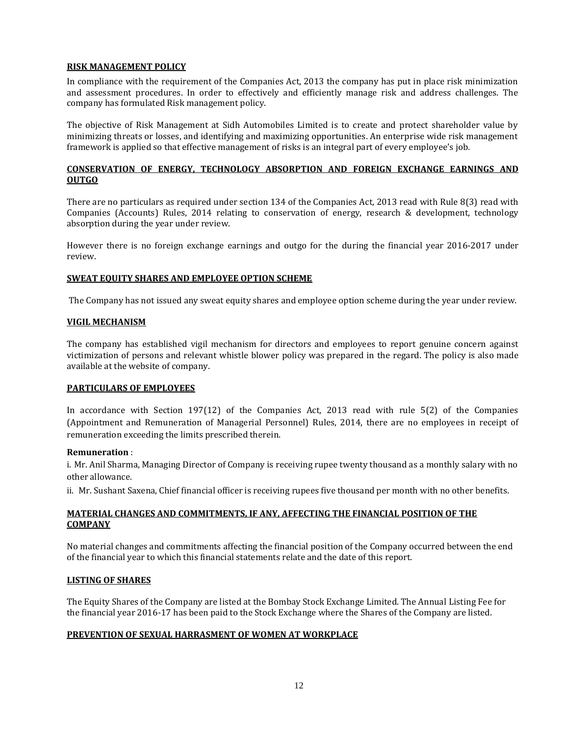### **RISK MANAGEMENT POLICY**

In compliance with the requirement of the Companies Act, 2013 the company has put in place risk minimization and assessment procedures. In order to effectively and efficiently manage risk and address challenges. The company has formulated Risk management policy.

The objective of Risk Management at Sidh Automobiles Limited is to create and protect shareholder value by minimizing threats or losses, and identifying and maximizing opportunities. An enterprise wide risk management framework is applied so that effective management of risks is an integral part of every employee's job.

# **CONSERVATION OF ENERGY, TECHNOLOGY ABSORPTION AND FOREIGN EXCHANGE EARNINGS AND OUTGO**

There are no particulars as required under section 134 of the Companies Act, 2013 read with Rule 8(3) read with Companies (Accounts) Rules, 2014 relating to conservation of energy, research & development, technology absorption during the year under review.

However there is no foreign exchange earnings and outgo for the during the financial year 2016-2017 under review.

# **SWEAT EQUITY SHARES AND EMPLOYEE OPTION SCHEME**

The Company has not issued any sweat equity shares and employee option scheme during the year under review.

#### **VIGIL MECHANISM**

The company has established vigil mechanism for directors and employees to report genuine concern against victimization of persons and relevant whistle blower policy was prepared in the regard. The policy is also made available at the website of company.

#### **PARTICULARS OF EMPLOYEES**

In accordance with Section 197(12) of the Companies Act, 2013 read with rule 5(2) of the Companies (Appointment and Remuneration of Managerial Personnel) Rules, 2014, there are no employees in receipt of remuneration exceeding the limits prescribed therein.

#### **Remuneration** :

i. Mr. Anil Sharma, Managing Director of Company is receiving rupee twenty thousand as a monthly salary with no other allowance.

ii. Mr. Sushant Saxena, Chief financial officer is receiving rupees five thousand per month with no other benefits.

# **MATERIAL CHANGES AND COMMITMENTS, IF ANY, AFFECTING THE FINANCIAL POSITION OF THE COMPANY**

No material changes and commitments affecting the financial position of the Company occurred between the end of the financial year to which this financial statements relate and the date of this report.

#### **LISTING OF SHARES**

The Equity Shares of the Company are listed at the Bombay Stock Exchange Limited. The Annual Listing Fee for the financial year 2016-17 has been paid to the Stock Exchange where the Shares of the Company are listed.

#### **PREVENTION OF SEXUAL HARRASMENT OF WOMEN AT WORKPLACE**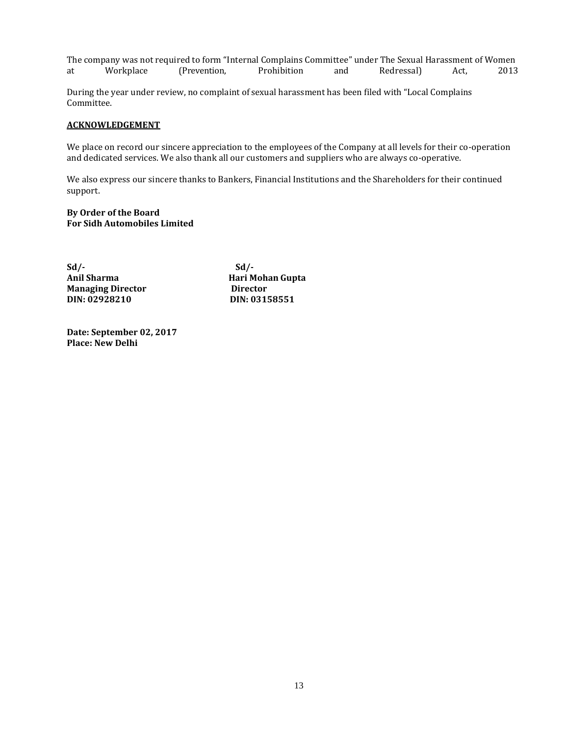The company was not required to form "Internal Complains Committee" under The Sexual Harassment of Women<br>at Morkplace (Prevention, Prohibition and Redressal) Act, 2013 at Workplace (Prevention, Prohibition and Redressal) Act, 2013

During the year under review, no complaint of sexual harassment has been filed with "Local Complains Committee.

#### **ACKNOWLEDGEMENT**

We place on record our sincere appreciation to the employees of the Company at all levels for their co-operation and dedicated services. We also thank all our customers and suppliers who are always co-operative.

We also express our sincere thanks to Bankers, Financial Institutions and the Shareholders for their continued support.

**By Order of the Board For Sidh Automobiles Limited**

**Sd/- Sd/- Anil Sharma Hari Mohan Gupta Managing Director Director DIN: 02928210 DIN: 03158551**

**Date: September 02, 2017 Place: New Delhi**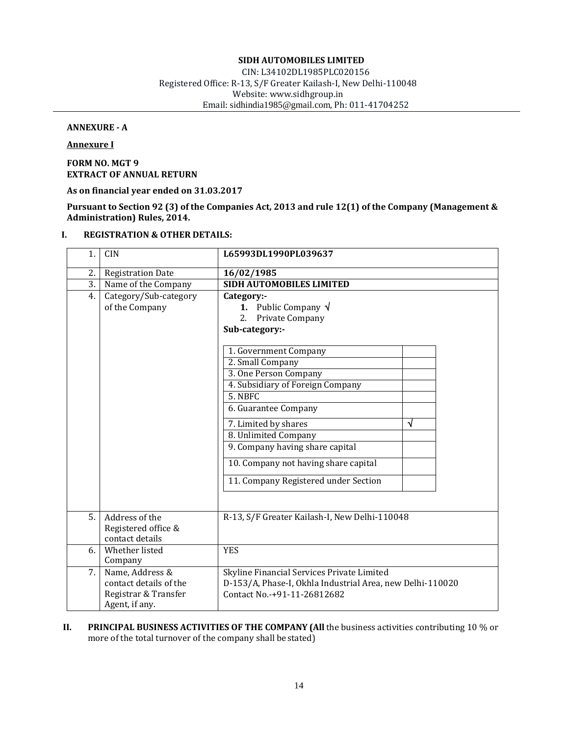# **SIDH AUTOMOBILES LIMITED**

CIN: L34102DL1985PLC020156 Registered Office: R-13, S/F Greater Kailash-I, New Delhi-110048 Website[: www.sidhgroup.in](http://www.sidhgroup.in/) Email: [sidhindia1985@gmail.com](mailto:sidhindia1985@gmail.com), Ph: 011-41704252

# **ANNEXURE - A**

**Annexure I**

**FORM NO. MGT 9 EXTRACT OF ANNUAL RETURN**

**As on financial year ended on 31.03.2017**

**Pursuant to Section 92 (3) of the Companies Act, 2013 and rule 12(1) of the Company (Management & Administration) Rules, 2014.**

# **I. REGISTRATION & OTHER DETAILS:**

| 1.               | <b>CIN</b>                                                                          | L65993DL1990PL039637                                                                                                                                              |   |
|------------------|-------------------------------------------------------------------------------------|-------------------------------------------------------------------------------------------------------------------------------------------------------------------|---|
| 2.               | <b>Registration Date</b>                                                            | 16/02/1985                                                                                                                                                        |   |
| $\overline{3}$ . | Name of the Company                                                                 | <b>SIDH AUTOMOBILES LIMITED</b>                                                                                                                                   |   |
| 4.               | Category/Sub-category<br>of the Company                                             | Category:-<br><b>1.</b> Public Company $\sqrt{}$<br>Private Company<br>2.<br>Sub-category:-                                                                       |   |
|                  |                                                                                     | 1. Government Company<br>2. Small Company<br>3. One Person Company<br>4. Subsidiary of Foreign Company<br>5. NBFC<br>6. Guarantee Company<br>7. Limited by shares | √ |
|                  |                                                                                     | 8. Unlimited Company<br>9. Company having share capital<br>10. Company not having share capital<br>11. Company Registered under Section                           |   |
| 5.               | Address of the<br>Registered office &<br>contact details                            | R-13, S/F Greater Kailash-I, New Delhi-110048                                                                                                                     |   |
| 6.               | Whether listed<br>Company                                                           | <b>YES</b>                                                                                                                                                        |   |
| 7.               | Name, Address &<br>contact details of the<br>Registrar & Transfer<br>Agent, if any. | Skyline Financial Services Private Limited<br>D-153/A, Phase-I, Okhla Industrial Area, new Delhi-110020<br>Contact No.-+91-11-26812682                            |   |

#### **II. PRINCIPAL BUSINESS ACTIVITIES OF THE COMPANY (All** the business activities contributing 10 % or more of the total turnover of the company shall be stated)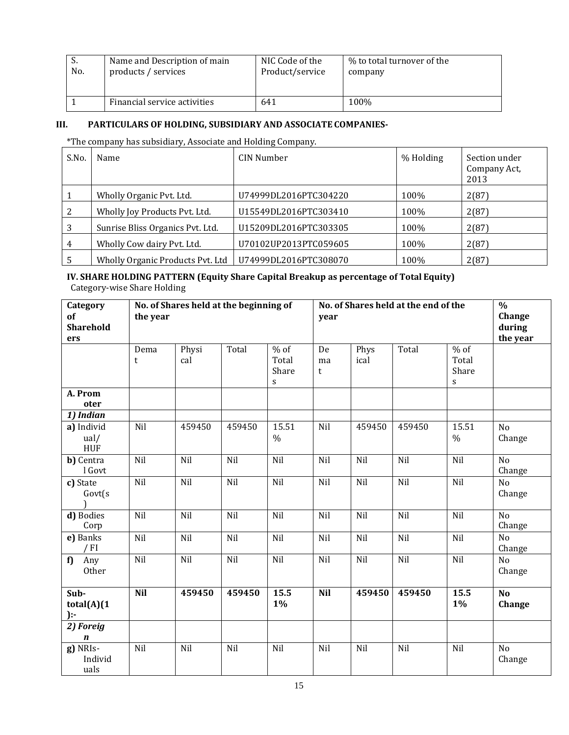| .ن  | Name and Description of main | NIC Code of the | % to total turnover of the |
|-----|------------------------------|-----------------|----------------------------|
| No. | products / services          | Product/service | company                    |
|     | Financial service activities | 641             |                            |

# **III. PARTICULARS OF HOLDING, SUBSIDIARY AND ASSOCIATE COMPANIES-**

\*The company has subsidiary, Associate and Holding Company.

| S.No. | Name                             | CIN Number            | % Holding | Section under<br>Company Act,<br>2013 |
|-------|----------------------------------|-----------------------|-----------|---------------------------------------|
|       | Wholly Organic Pvt. Ltd.         | U74999DL2016PTC304220 | 100%      | 2(87)                                 |
|       | Wholly Joy Products Pvt. Ltd.    | U15549DL2016PTC303410 | 100%      | 2(87)                                 |
|       | Sunrise Bliss Organics Pvt. Ltd. | U15209DL2016PTC303305 | 100%      | 2(87)                                 |
|       | Wholly Cow dairy Pvt. Ltd.       | U70102UP2013PTC059605 | 100%      | 2(87)                                 |
|       | Wholly Organic Products Pvt. Ltd | U74999DL2016PTC308070 | 100%      | 2(87)                                 |

**IV. SHARE HOLDING PATTERN (Equity Share Capital Breakup as percentage of Total Equity)** Category-wise Share Holding

| Category<br>of<br><b>Sharehold</b><br>ers     | the year   | No. of Shares held at the beginning of |        |                               | year          | No. of Shares held at the end of the |                  |                                |                           |  |
|-----------------------------------------------|------------|----------------------------------------|--------|-------------------------------|---------------|--------------------------------------|------------------|--------------------------------|---------------------------|--|
|                                               | Dema<br>t  | Physi<br>cal                           | Total  | $%$ of<br>Total<br>Share<br>S | De<br>ma<br>t | Phys<br>ical                         | Total            | $\%$ of<br>Total<br>Share<br>S |                           |  |
| A. Prom<br>oter                               |            |                                        |        |                               |               |                                      |                  |                                |                           |  |
| 1) Indian<br>a) Individ<br>ual/<br><b>HUF</b> | Nil        | 459450                                 | 459450 | 15.51<br>$\%$                 | Nil           | 459450                               | 459450           | 15.51<br>$\%$                  | N <sub>o</sub><br>Change  |  |
| b) Centra<br>l Govt                           | Nil        | Nil                                    | Nil    | Nil                           | Nil           | Nil                                  | Nil              | Nil                            | N <sub>o</sub><br>Change  |  |
| c) State<br>Govt(s)                           | Nil        | Nil                                    | Nil    | Nil                           | Nil           | Nil                                  | Nil              | Nil                            | No<br>Change              |  |
| d) Bodies<br>Corp                             | Nil        | Nil                                    | Nil    | Nil                           | Nil           | $\overline{Nil}$                     | $\overline{Nil}$ | $\overline{Nil}$               | $\overline{No}$<br>Change |  |
| e) Banks<br>$/$ FI                            | Nil        | Nil                                    | Nil    | Nil                           | Nil           | Nil                                  | Nil              | Nil                            | N <sub>o</sub><br>Change  |  |
| f)<br>Any<br>Other                            | Nil        | Nil                                    | Nil    | Nil                           | Nil           | Nil                                  | Nil              | Nil                            | N <sub>o</sub><br>Change  |  |
| Sub-<br>total(A)(1)<br>$\cdot$                | <b>Nil</b> | 459450                                 | 459450 | 15.5<br>$1\%$                 | <b>Nil</b>    | 459450                               | 459450           | 15.5<br>$1\%$                  | N <sub>o</sub><br>Change  |  |
| 2) Foreig<br>$\boldsymbol{n}$                 |            |                                        |        |                               |               |                                      |                  |                                |                           |  |
| g) NRIs-<br>Individ<br>uals                   | Nil        | Nil                                    | Nil    | Nil                           | Nil           | Nil                                  | Nil              | Nil                            | N <sub>o</sub><br>Change  |  |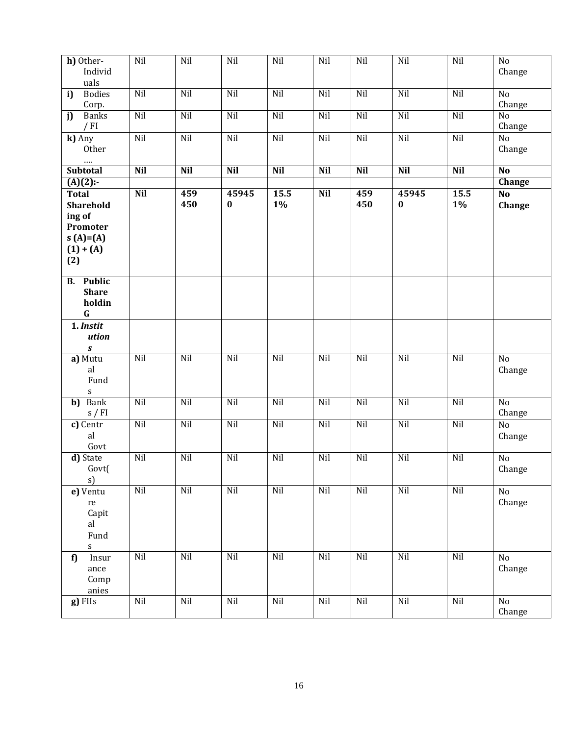| h) Other-<br>Individ                                                                        | Nil        | Nil        | Nil               | Nil           | Nil        | Nil        | Nil               | Nil           | No<br>Change             |
|---------------------------------------------------------------------------------------------|------------|------------|-------------------|---------------|------------|------------|-------------------|---------------|--------------------------|
| uals<br><b>Bodies</b><br>i)                                                                 | Nil        | Nil        | Nil               | Nil           | Nil        | Nil        | Nil               | Nil           | N <sub>o</sub>           |
| Corp.                                                                                       |            |            |                   |               |            |            |                   |               | Change                   |
| <b>Banks</b><br>j)<br>$/$ FI                                                                | Nil        | Nil        | Nil               | Nil           | Nil        | Nil        | Nil               | Nil           | N <sub>o</sub><br>Change |
| k) Any<br>Other<br>$\cdots$                                                                 | Nil        | Nil        | Nil               | Nil           | Nil        | Nil        | Nil               | Nil           | N <sub>o</sub><br>Change |
| <b>Subtotal</b>                                                                             | <b>Nil</b> | <b>Nil</b> | <b>Nil</b>        | <b>Nil</b>    | <b>Nil</b> | <b>Nil</b> | <b>Nil</b>        | <b>Nil</b>    | N <sub>o</sub>           |
| $\overline{(A)(2)}$ :-                                                                      |            |            |                   |               |            |            |                   |               | Change                   |
| <b>Total</b><br><b>Sharehold</b><br>ing of<br>Promoter<br>$S(A)=A(A)$<br>$(1) + (A)$<br>(2) | <b>Nil</b> | 459<br>450 | 45945<br>$\bf{0}$ | 15.5<br>$1\%$ | <b>Nil</b> | 459<br>450 | 45945<br>$\bf{0}$ | 15.5<br>$1\%$ | N <sub>o</sub><br>Change |
| <b>B.</b> Public<br><b>Share</b><br>holdin<br>$\mathbf G$                                   |            |            |                   |               |            |            |                   |               |                          |
| 1. Instit<br>ution<br>$\pmb{S}$                                                             |            |            |                   |               |            |            |                   |               |                          |
| a) Mutu<br>al<br>Fund<br>S                                                                  | Nil        | Nil        | Nil               | Nil           | Nil        | Nil        | Nil               | Nil           | No<br>Change             |
| b) Bank<br>s / FI                                                                           | Nil        | Nil        | Nil               | Nil           | Nil        | Nil        | Nil               | Nil           | No<br>Change             |
| c) Centr<br>al<br>Govt                                                                      | Nil        | Nil        | Nil               | Nil           | Nil        | Nil        | Nil               | Nil           | No<br>Change             |
| d) State<br>Govt<br>s)                                                                      | Nil        | Nil        | Nil               | Nil           | Nil        | Nil        | Nil               | Nil           | No<br>Change             |
| e) Ventu<br>$\rm re$<br>Capit<br>al<br>Fund<br>S                                            | Nil        | Nil        | Nil               | Nil           | Nil        | Nil        | Nil               | Nil           | No<br>Change             |
| f)<br>Insur<br>ance<br>Comp<br>anies                                                        | Nil        | Nil        | Nil               | Nil           | Nil        | Nil        | Nil               | Nil           | No<br>Change             |
| g) FIIs                                                                                     | Nil        | Nil        | Nil               | Nil           | Nil        | Nil        | Nil               | Nil           | No<br>Change             |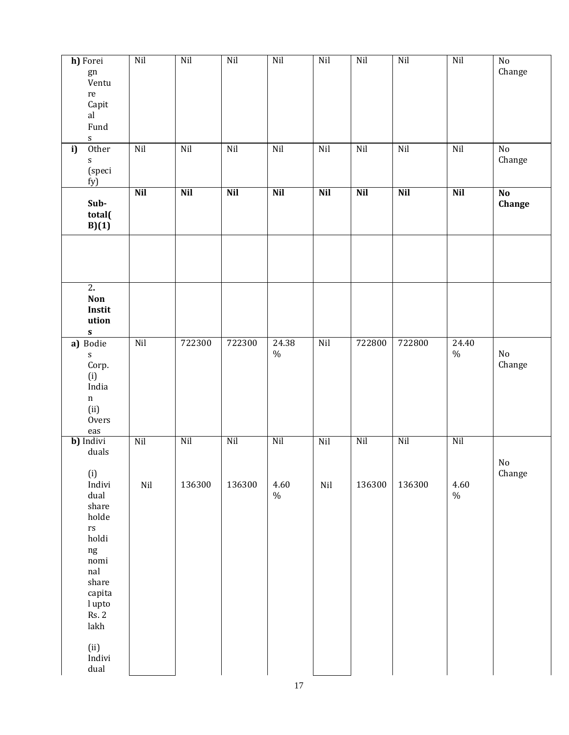| h) Forei<br>gn<br>Ventu<br>$\rm re$<br>Capit<br>al<br>Fund<br>${\mathsf S}$                                                                                                                                                       | Nil              | Nil           | Nil           | Nil                 | Nil        | Nil           | Nil           | Nil                        | $\rm No$<br>Change      |
|-----------------------------------------------------------------------------------------------------------------------------------------------------------------------------------------------------------------------------------|------------------|---------------|---------------|---------------------|------------|---------------|---------------|----------------------------|-------------------------|
| Other<br>i)<br>${\bf S}$<br>(speci<br>fy)                                                                                                                                                                                         | $\rm Nil$        | Nil           | Nil           | Nil                 | Nil        | $\rm Nil$     | Nil           | Nil                        | $\rm No$<br>Change      |
| Sub-<br>total(<br>B)(1)                                                                                                                                                                                                           | <b>Nil</b>       | <b>Nil</b>    | <b>Nil</b>    | <b>Nil</b>          | <b>Nil</b> | <b>Nil</b>    | <b>Nil</b>    | <b>Nil</b>                 | $\mathbf{No}$<br>Change |
|                                                                                                                                                                                                                                   |                  |               |               |                     |            |               |               |                            |                         |
| $\overline{2}$ .<br>Non<br>Instit<br>ution<br>$\boldsymbol{\mathsf{s}}$                                                                                                                                                           |                  |               |               |                     |            |               |               |                            |                         |
| a) Bodie<br>${\mathbf S}$<br>Corp.<br>(i)<br>India<br>$\mathbf n$<br>(ii)<br><b>Overs</b><br>$_{\rm eas}$                                                                                                                         | Nil              | 722300        | 722300        | 24.38<br>$\%$       | Nil        | 722800        | 722800        | $\overline{24.40}$<br>$\%$ | No<br>Change            |
| b) Indivi<br>duals<br>(i)<br>Indivi<br>dual<br>share<br>holde<br>$\mathbf{r}\mathbf{s}$<br>holdi<br>$\rm ng$<br>$\bf nomi$<br>$\operatorname{nal}$<br>share<br>capita<br>l upto<br><b>Rs. 2</b><br>lakh<br>(ii)<br>Indivi<br>dual | Nil<br>$\rm Nil$ | Nil<br>136300 | Nil<br>136300 | Nil<br>4.60<br>$\%$ | Nil<br>Nil | Nil<br>136300 | Nil<br>136300 | Nil<br>4.60<br>$\%$        | No<br>Change            |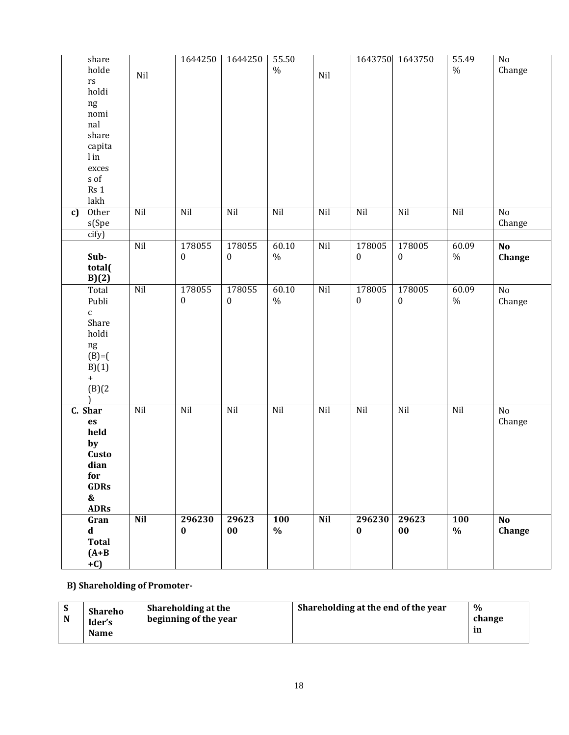| share<br>holde<br>$\mathop{\text{rs}}$<br>holdi<br>ng<br>nomi<br>nal<br>share<br>capita<br>$\ln$<br>exces<br>$\boldsymbol{s}$ of<br>Rs 1<br>lakh | Nil        | 1644250                    | 1644250                    | 55.50<br>$\%$      | Nil        |                            | 1643750 1643750            | 55.49<br>$\frac{0}{0}$ | $\rm No$<br>Change        |
|--------------------------------------------------------------------------------------------------------------------------------------------------|------------|----------------------------|----------------------------|--------------------|------------|----------------------------|----------------------------|------------------------|---------------------------|
| Other<br>c)<br>s(Spe                                                                                                                             | Nil        | Nil                        | Nil                        | Nil                | Nil        | Nil                        | Nil                        | Nil                    | No<br>Change              |
| cify)                                                                                                                                            |            |                            |                            |                    |            |                            |                            |                        |                           |
| Sub-<br>total(<br>B)(2)                                                                                                                          | Nil        | 178055<br>$\boldsymbol{0}$ | 178055<br>$\boldsymbol{0}$ | 60.10<br>$\%$      | Nil        | 178005<br>$\boldsymbol{0}$ | 178005<br>$\boldsymbol{0}$ | 60.09<br>$\%$          | $\overline{No}$<br>Change |
| Total<br>Publi<br>$\mathsf{C}$<br>Share<br>holdi<br>$\rm ng$<br>$(B)=$ (<br>B)(1)<br>$\boldsymbol{+}$<br>(B)(2)                                  | Nil        | 178055<br>$\boldsymbol{0}$ | 178055<br>$\boldsymbol{0}$ | 60.10<br>$\%$      | Nil        | 178005<br>$\boldsymbol{0}$ | 178005<br>$\boldsymbol{0}$ | 60.09<br>$\%$          | $\rm No$<br>Change        |
| C. Shar<br>es<br>held<br>by<br>Custo<br>dian<br>for<br><b>GDRs</b><br>$\pmb{\&}$<br><b>ADRs</b>                                                  | Nil        | Nil                        | Nil                        | Nil                | Nil        | Nil                        | Nil                        | Nil                    | $\rm No$<br>Change        |
| Gran<br>$\mathbf d$<br><b>Total</b><br>$(A+B)$<br>$+C$                                                                                           | <b>Nil</b> | 296230<br>$\bf{0}$         | 29623<br>$00\,$            | <b>100</b><br>$\%$ | <b>Nil</b> | 296230<br>$\bf{0}$         | 29623<br>$00\,$            | <b>100</b><br>$\%$     | N <sub>o</sub><br>Change  |

**B) Shareholding of Promoter-**

| N | <b>Shareho</b><br>ider's<br><b>Name</b> | Shareholding at the<br>beginning of the year | Shareholding at the end of the year | $\%$<br>change<br>m |
|---|-----------------------------------------|----------------------------------------------|-------------------------------------|---------------------|
|---|-----------------------------------------|----------------------------------------------|-------------------------------------|---------------------|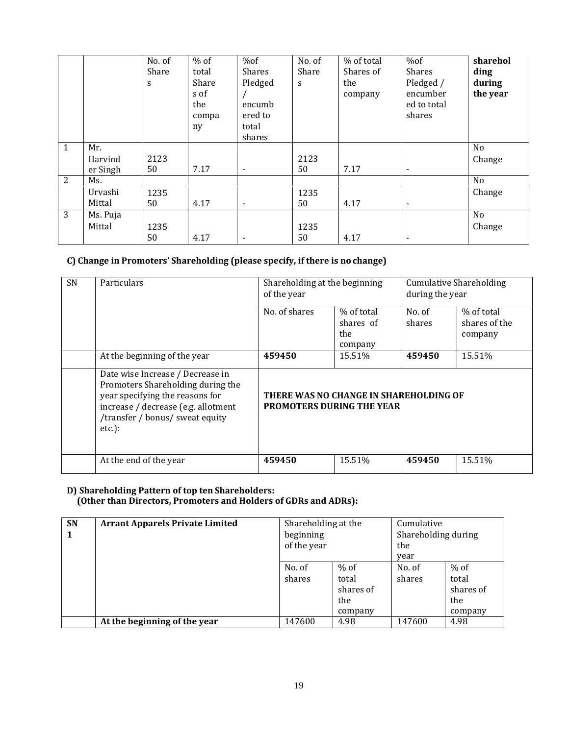|   |          | No. of<br>Share<br>S | $%$ of<br>total<br>Share<br>s of<br>the<br>compa<br>ny | %of<br>Shares<br>Pledged<br>encumb<br>ered to<br>total<br>shares | No. of<br>Share<br>S | % of total<br>Shares of<br>the<br>company | %of<br>Shares<br>Pledged /<br>encumber<br>ed to total<br>shares | sharehol<br>ding<br>during<br>the year |
|---|----------|----------------------|--------------------------------------------------------|------------------------------------------------------------------|----------------------|-------------------------------------------|-----------------------------------------------------------------|----------------------------------------|
| 1 | Mr.      |                      |                                                        |                                                                  |                      |                                           |                                                                 | N <sub>0</sub>                         |
|   | Harvind  | 2123                 |                                                        |                                                                  | 2123                 |                                           |                                                                 | Change                                 |
|   | er Singh | 50                   | 7.17                                                   | $\overline{\phantom{a}}$                                         | 50                   | 7.17                                      | $\overline{\phantom{a}}$                                        |                                        |
| 2 | Ms.      |                      |                                                        |                                                                  |                      |                                           |                                                                 | No                                     |
|   | Urvashi  | 1235                 |                                                        |                                                                  | 1235                 |                                           |                                                                 | Change                                 |
|   | Mittal   | 50                   | 4.17                                                   | $\overline{\phantom{a}}$                                         | 50                   | 4.17                                      | $\overline{\phantom{a}}$                                        |                                        |
| 3 | Ms. Puja |                      |                                                        |                                                                  |                      |                                           |                                                                 | No                                     |
|   | Mittal   | 1235                 |                                                        |                                                                  | 1235                 |                                           |                                                                 | Change                                 |
|   |          | 50                   | 4.17                                                   | $\overline{\phantom{a}}$                                         | 50                   | 4.17                                      | $\overline{\phantom{a}}$                                        |                                        |

# **C) Change in Promoters' Shareholding (please specify, if there is no change)**

| <b>SN</b> | <b>Particulars</b>                                                                                                                                                                             | Shareholding at the beginning<br>of the year                               |                                           | <b>Cumulative Shareholding</b><br>during the year |                                        |  |
|-----------|------------------------------------------------------------------------------------------------------------------------------------------------------------------------------------------------|----------------------------------------------------------------------------|-------------------------------------------|---------------------------------------------------|----------------------------------------|--|
|           |                                                                                                                                                                                                | No. of shares                                                              | % of total<br>shares of<br>the<br>company | No. of<br>shares                                  | % of total<br>shares of the<br>company |  |
|           | At the beginning of the year                                                                                                                                                                   | 459450                                                                     | 15.51%                                    | 459450                                            | 15.51%                                 |  |
|           | Date wise Increase / Decrease in<br>Promoters Shareholding during the<br>year specifying the reasons for<br>increase / decrease (e.g. allotment<br>/transfer / bonus/ sweat equity<br>$etc.$ : | THERE WAS NO CHANGE IN SHAREHOLDING OF<br><b>PROMOTERS DURING THE YEAR</b> |                                           |                                                   |                                        |  |
|           | At the end of the year                                                                                                                                                                         | 459450                                                                     | 15.51%                                    | 459450                                            | 15.51%                                 |  |

#### **D) Shareholding Pattern of top ten Shareholders: (Other than Directors, Promoters and Holders of GDRs and ADRs):**

| <b>SN</b><br>1 | <b>Arrant Apparels Private Limited</b> | Shareholding at the<br>beginning<br>of the year |                                                | Cumulative<br>Shareholding during<br>the<br>year |                                                |
|----------------|----------------------------------------|-------------------------------------------------|------------------------------------------------|--------------------------------------------------|------------------------------------------------|
|                |                                        | No. of<br>shares                                | $%$ of<br>total<br>shares of<br>the<br>company | No. of<br>shares                                 | $%$ of<br>total<br>shares of<br>the<br>company |
|                | At the beginning of the year           | 147600                                          | 4.98                                           | 147600                                           | 4.98                                           |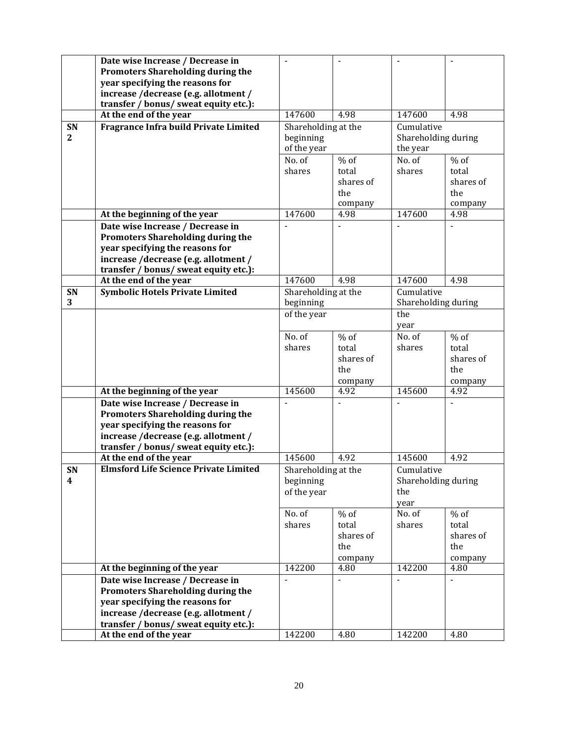|                | Date wise Increase / Decrease in<br><b>Promoters Shareholding during the</b> |                     |                |                     |           |
|----------------|------------------------------------------------------------------------------|---------------------|----------------|---------------------|-----------|
|                | year specifying the reasons for<br>increase /decrease (e.g. allotment /      |                     |                |                     |           |
|                | transfer / bonus/ sweat equity etc.):                                        |                     |                |                     |           |
|                | At the end of the year                                                       | 147600              | 4.98           | 147600              | 4.98      |
| SN             | Fragrance Infra build Private Limited                                        | Shareholding at the |                | Cumulative          |           |
| $\overline{2}$ |                                                                              | beginning           |                | Shareholding during |           |
|                |                                                                              | of the year         |                | the year            |           |
|                |                                                                              | No. of              | $%$ of         | No. of              | $%$ of    |
|                |                                                                              | shares              | total          | shares              | total     |
|                |                                                                              |                     | shares of      |                     | shares of |
|                |                                                                              |                     | the            |                     | the       |
|                |                                                                              |                     | company        |                     | company   |
|                | At the beginning of the year                                                 | 147600              | 4.98           | 147600              | 4.98      |
|                | Date wise Increase / Decrease in                                             |                     |                |                     |           |
|                | <b>Promoters Shareholding during the</b>                                     |                     |                |                     |           |
|                | year specifying the reasons for                                              |                     |                |                     |           |
|                | increase /decrease (e.g. allotment /                                         |                     |                |                     |           |
|                | transfer / bonus/ sweat equity etc.):<br>At the end of the year              | 147600              | 4.98           | 147600              | 4.98      |
| SN             | <b>Symbolic Hotels Private Limited</b>                                       | Shareholding at the |                | Cumulative          |           |
| 3              |                                                                              | beginning           |                | Shareholding during |           |
|                |                                                                              | of the year         |                | the                 |           |
|                |                                                                              |                     |                | year                |           |
|                |                                                                              | No. of              | $%$ of         | No. of              | $%$ of    |
|                |                                                                              | shares              | total          | shares              | total     |
|                |                                                                              |                     | shares of      |                     | shares of |
|                |                                                                              |                     | the            |                     | the       |
|                |                                                                              |                     | company        |                     | company   |
|                | At the beginning of the year                                                 | 145600              | 4.92           | 145600              | 4.92      |
|                | Date wise Increase / Decrease in                                             |                     |                |                     |           |
|                | <b>Promoters Shareholding during the</b><br>year specifying the reasons for  |                     |                |                     |           |
|                | increase /decrease (e.g. allotment /                                         |                     |                |                     |           |
|                | transfer / bonus/ sweat equity etc.):                                        |                     |                |                     |           |
|                | At the end of the year                                                       | 145600              | 4.92           | 145600              | 4.92      |
| <b>SN</b>      | <b>Elmsford Life Science Private Limited</b>                                 | Shareholding at the |                | Cumulative          |           |
| 4              |                                                                              | beginning           |                | Shareholding during |           |
|                |                                                                              | of the year         |                | the                 |           |
|                |                                                                              |                     |                | year                |           |
|                |                                                                              | No. of              | $%$ of         | No. of              | $%$ of    |
|                |                                                                              | shares              | total          | shares              | total     |
|                |                                                                              |                     | shares of      |                     | shares of |
|                |                                                                              |                     | the            |                     | the       |
|                |                                                                              |                     | company        |                     | company   |
|                | At the beginning of the year                                                 | 142200              | 4.80           | 142200              | 4.80      |
|                | Date wise Increase / Decrease in<br>Promoters Shareholding during the        | $\blacksquare$      | $\blacksquare$ |                     |           |
|                | year specifying the reasons for                                              |                     |                |                     |           |
|                | increase /decrease (e.g. allotment /                                         |                     |                |                     |           |
|                | transfer / bonus/ sweat equity etc.):                                        |                     |                |                     |           |
|                | At the end of the year                                                       | 142200              | 4.80           | 142200              | 4.80      |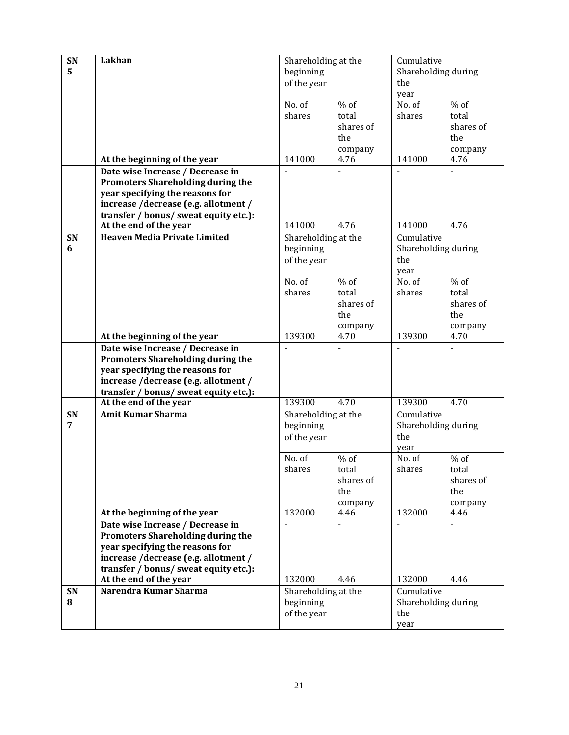| SN | Lakhan                                                                        | Shareholding at the              |                 | Cumulative          |                 |  |
|----|-------------------------------------------------------------------------------|----------------------------------|-----------------|---------------------|-----------------|--|
| 5  |                                                                               | beginning                        |                 | Shareholding during |                 |  |
|    |                                                                               | of the year                      |                 | the                 |                 |  |
|    |                                                                               |                                  |                 | year                |                 |  |
|    |                                                                               | No. of                           | $%$ of          | No. of              | $%$ of          |  |
|    |                                                                               | shares                           | total           | shares              | total           |  |
|    |                                                                               |                                  | shares of       |                     | shares of       |  |
|    |                                                                               |                                  | the             |                     | the             |  |
|    |                                                                               |                                  | company         |                     | company         |  |
|    | At the beginning of the year                                                  | 141000                           | 4.76            | 141000              | 4.76            |  |
|    | Date wise Increase / Decrease in                                              |                                  | $\blacksquare$  |                     |                 |  |
|    | <b>Promoters Shareholding during the</b>                                      |                                  |                 |                     |                 |  |
|    | year specifying the reasons for                                               |                                  |                 |                     |                 |  |
|    | increase /decrease (e.g. allotment /                                          |                                  |                 |                     |                 |  |
|    | transfer / bonus/ sweat equity etc.):                                         |                                  |                 |                     |                 |  |
|    | At the end of the year                                                        | 141000                           | 4.76            | 141000              | 4.76            |  |
| SN | <b>Heaven Media Private Limited</b>                                           | Shareholding at the              |                 | Cumulative          |                 |  |
| 6  |                                                                               | beginning                        |                 | Shareholding during |                 |  |
|    |                                                                               | of the year                      |                 | the                 |                 |  |
|    |                                                                               |                                  |                 | year                |                 |  |
|    |                                                                               | No. of                           | $%$ of          | No. of              | $%$ of          |  |
|    |                                                                               | shares                           | total           | shares              | total           |  |
|    |                                                                               |                                  | shares of       |                     | shares of       |  |
|    |                                                                               |                                  | the             |                     | the             |  |
|    |                                                                               |                                  | company         |                     | company         |  |
|    | At the beginning of the year                                                  | 139300                           | 4.70            | 139300              | 4.70            |  |
|    | Date wise Increase / Decrease in                                              |                                  |                 |                     |                 |  |
|    | <b>Promoters Shareholding during the</b>                                      |                                  |                 |                     |                 |  |
|    | year specifying the reasons for                                               |                                  |                 |                     |                 |  |
|    | increase /decrease (e.g. allotment /                                          |                                  |                 |                     |                 |  |
|    | transfer / bonus/ sweat equity etc.):                                         |                                  |                 |                     |                 |  |
|    | At the end of the year                                                        | 139300                           | 4.70            | 139300              | 4.70            |  |
| SN | <b>Amit Kumar Sharma</b>                                                      | Shareholding at the              |                 | Cumulative          |                 |  |
| 7  |                                                                               | beginning                        |                 | Shareholding during |                 |  |
|    |                                                                               | of the year                      |                 | the                 |                 |  |
|    |                                                                               |                                  |                 | year                |                 |  |
|    |                                                                               | No. of                           | $%$ of          | No. of              | $%$ of          |  |
|    |                                                                               | shares                           | total           | shares              | total           |  |
|    |                                                                               |                                  | shares of       |                     | shares of       |  |
|    |                                                                               |                                  | the             |                     | the             |  |
|    |                                                                               | 132000                           | company<br>4.46 | 132000              | company<br>4.46 |  |
|    | At the beginning of the year                                                  | $\overline{a}$                   | $\overline{a}$  | $\overline{a}$      |                 |  |
|    | Date wise Increase / Decrease in                                              |                                  |                 |                     | $\overline{a}$  |  |
|    | Promoters Shareholding during the                                             |                                  |                 |                     |                 |  |
|    | year specifying the reasons for                                               |                                  |                 |                     |                 |  |
|    | increase /decrease (e.g. allotment /<br>transfer / bonus/ sweat equity etc.): |                                  |                 |                     |                 |  |
|    | At the end of the year                                                        | 132000                           | 4.46            | 132000              | 4.46            |  |
| SN | Narendra Kumar Sharma                                                         |                                  |                 | Cumulative          |                 |  |
| 8  |                                                                               | Shareholding at the<br>beginning |                 | Shareholding during |                 |  |
|    |                                                                               | of the year                      |                 |                     |                 |  |
|    |                                                                               |                                  |                 | the                 |                 |  |
|    |                                                                               |                                  |                 | year                |                 |  |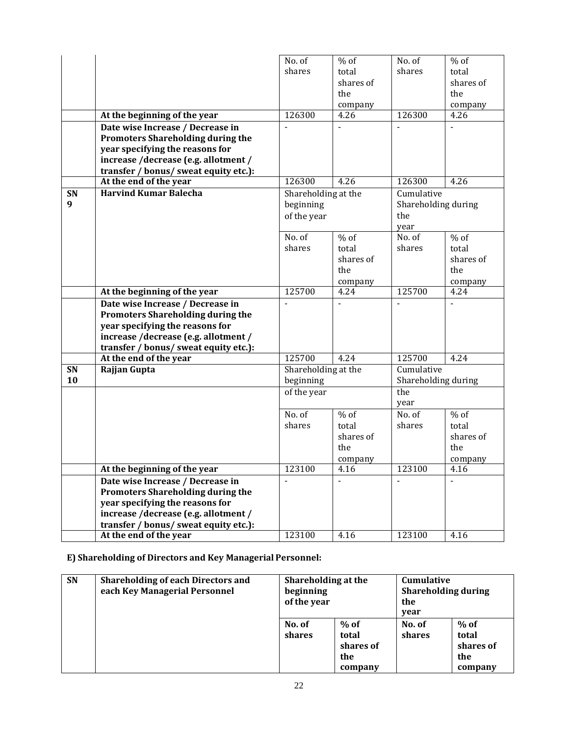|                  |                                          | No. of                   | $%$ of                   | No. of              | $%$ of    |
|------------------|------------------------------------------|--------------------------|--------------------------|---------------------|-----------|
|                  |                                          | shares                   | total                    | shares              | total     |
|                  |                                          |                          | shares of                |                     | shares of |
|                  |                                          |                          | the                      |                     | the       |
|                  |                                          |                          | company                  |                     | company   |
|                  | At the beginning of the year             | 126300                   | 4.26                     | 126300              | 4.26      |
|                  | Date wise Increase / Decrease in         |                          |                          |                     | ä,        |
|                  |                                          |                          |                          |                     |           |
|                  | <b>Promoters Shareholding during the</b> |                          |                          |                     |           |
|                  | year specifying the reasons for          |                          |                          |                     |           |
|                  | increase /decrease (e.g. allotment /     |                          |                          |                     |           |
|                  | transfer / bonus/ sweat equity etc.):    |                          |                          |                     |           |
|                  | At the end of the year                   | 126300                   | 4.26                     | 126300              | 4.26      |
| SN               | <b>Harvind Kumar Balecha</b>             | Shareholding at the      |                          | Cumulative          |           |
| $\boldsymbol{q}$ |                                          | beginning                |                          | Shareholding during |           |
|                  |                                          | of the year              |                          | the                 |           |
|                  |                                          |                          |                          | year                |           |
|                  |                                          | No. of                   | $%$ of                   | No. of              | $%$ of    |
|                  |                                          | shares                   | total                    | shares              | total     |
|                  |                                          |                          | shares of                |                     | shares of |
|                  |                                          |                          | the                      |                     | the       |
|                  |                                          |                          |                          |                     |           |
|                  |                                          |                          | company                  |                     | company   |
|                  | At the beginning of the year             | 125700                   | 4.24                     | 125700              | 4.24      |
|                  | Date wise Increase / Decrease in         |                          |                          |                     |           |
|                  | Promoters Shareholding during the        |                          |                          |                     |           |
|                  | year specifying the reasons for          |                          |                          |                     |           |
|                  | increase /decrease (e.g. allotment /     |                          |                          |                     |           |
|                  | transfer / bonus/ sweat equity etc.):    |                          |                          |                     |           |
|                  | At the end of the year                   | 125700                   | 4.24                     | 125700              | 4.24      |
| SN               | Rajjan Gupta                             | Shareholding at the      |                          | Cumulative          |           |
| 10               |                                          | beginning                |                          | Shareholding during |           |
|                  |                                          | of the year              |                          | the                 |           |
|                  |                                          |                          |                          | year                |           |
|                  |                                          | No. of                   | $%$ of                   | No. of              | $%$ of    |
|                  |                                          | shares                   | total                    | shares              | total     |
|                  |                                          |                          | shares of                |                     | shares of |
|                  |                                          |                          | the                      |                     | the       |
|                  |                                          |                          |                          |                     |           |
|                  |                                          |                          | company                  |                     | company   |
|                  | At the beginning of the year             | 123100                   | 4.16                     | 123100              | 4.16      |
|                  | Date wise Increase / Decrease in         | $\overline{\phantom{a}}$ | $\overline{\phantom{a}}$ |                     |           |
|                  | Promoters Shareholding during the        |                          |                          |                     |           |
|                  | year specifying the reasons for          |                          |                          |                     |           |
|                  | increase /decrease (e.g. allotment /     |                          |                          |                     |           |
|                  | transfer / bonus/ sweat equity etc.):    |                          |                          |                     |           |
|                  | At the end of the year                   | 123100                   | 4.16                     | 123100              | 4.16      |
|                  |                                          |                          |                          |                     |           |

**E) Shareholding of Directors and Key Managerial Personnel:**

| <b>SN</b> | <b>Shareholding of each Directors and</b><br>each Key Managerial Personnel | Shareholding at the<br>beginning<br>of the year |                                                | <b>Cumulative</b><br><b>Shareholding during</b><br>the<br>year |                                                |
|-----------|----------------------------------------------------------------------------|-------------------------------------------------|------------------------------------------------|----------------------------------------------------------------|------------------------------------------------|
|           |                                                                            | No. of<br>shares                                | $%$ of<br>total<br>shares of<br>the<br>company | No. of<br>shares                                               | $%$ of<br>total<br>shares of<br>the<br>company |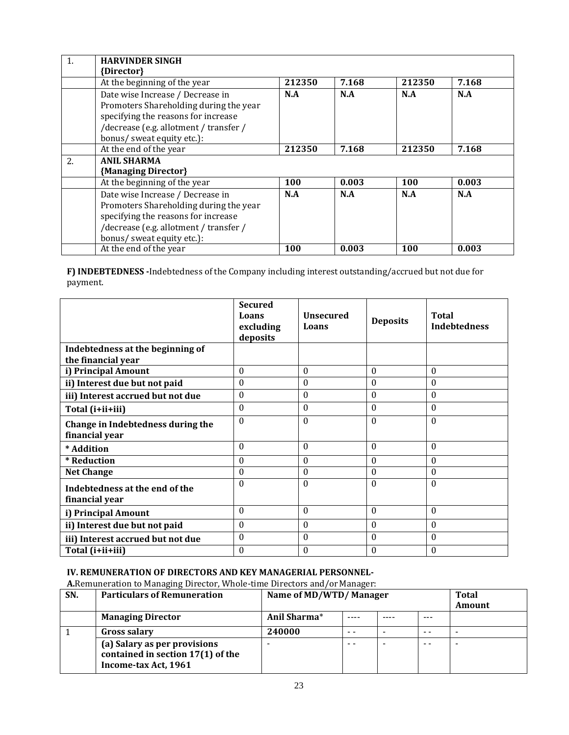|    | <b>HARVINDER SINGH</b>                 |        |       |        |       |
|----|----------------------------------------|--------|-------|--------|-------|
|    | {Director}                             |        |       |        |       |
|    | At the beginning of the year           | 212350 | 7.168 | 212350 | 7.168 |
|    | Date wise Increase / Decrease in       | N.A    | N.A   | N.A    | N.A   |
|    | Promoters Shareholding during the year |        |       |        |       |
|    | specifying the reasons for increase    |        |       |        |       |
|    | /decrease (e.g. allotment / transfer / |        |       |        |       |
|    | bonus/ sweat equity etc.):             |        |       |        |       |
|    | At the end of the year                 | 212350 | 7.168 | 212350 | 7.168 |
| 2. | <b>ANIL SHARMA</b>                     |        |       |        |       |
|    | {Managing Director}                    |        |       |        |       |
|    | At the beginning of the year           | 100    | 0.003 | 100    | 0.003 |
|    | Date wise Increase / Decrease in       | N.A    | N.A   | N.A    | N.A   |
|    | Promoters Shareholding during the year |        |       |        |       |
|    | specifying the reasons for increase    |        |       |        |       |
|    | /decrease (e.g. allotment / transfer / |        |       |        |       |
|    | bonus/ sweat equity etc.):             |        |       |        |       |
|    | At the end of the year                 | 100    | 0.003 | 100    | 0.003 |

**F) INDEBTEDNESS -**Indebtedness of the Company including interest outstanding/accrued but not due for payment.

|                                                     | <b>Secured</b><br>Loans<br>excluding<br>deposits | <b>Unsecured</b><br>Loans | <b>Deposits</b> | <b>Total</b><br><b>Indebtedness</b> |
|-----------------------------------------------------|--------------------------------------------------|---------------------------|-----------------|-------------------------------------|
| Indebtedness at the beginning of                    |                                                  |                           |                 |                                     |
| the financial year                                  |                                                  |                           |                 |                                     |
| i) Principal Amount                                 | $\theta$                                         | $\Omega$                  | $\theta$        | $\theta$                            |
| ii) Interest due but not paid                       | $\theta$                                         | $\theta$                  | $\theta$        | $\theta$                            |
| iii) Interest accrued but not due                   | $\theta$                                         | $\theta$                  | $\theta$        | $\theta$                            |
| Total (i+ii+iii)                                    | $\theta$                                         | $\theta$                  | $\theta$        | $\theta$                            |
| Change in Indebtedness during the<br>financial year | $\theta$                                         | $\Omega$                  | $\theta$        | $\theta$                            |
| * Addition                                          | $\Omega$                                         | $\Omega$                  | $\theta$        | $\theta$                            |
| * Reduction                                         | $\theta$                                         | $\theta$                  | $\theta$        | $\theta$                            |
| <b>Net Change</b>                                   | $\boldsymbol{0}$                                 | $\theta$                  | $\theta$        | $\theta$                            |
| Indebtedness at the end of the<br>financial year    | $\theta$                                         | $\Omega$                  | $\theta$        | $\theta$                            |
| i) Principal Amount                                 | $\theta$                                         | $\theta$                  | $\theta$        | $\theta$                            |
| ii) Interest due but not paid                       | 0                                                | $\Omega$                  | $\theta$        | $\theta$                            |
| iii) Interest accrued but not due                   | $\boldsymbol{0}$                                 | $\Omega$                  | $\theta$        | 0                                   |
| Total (i+ii+iii)                                    | 0                                                | $\theta$                  | $\mathbf{0}$    | $\boldsymbol{0}$                    |

# **IV. REMUNERATION OF DIRECTORS AND KEY MANAGERIAL PERSONNEL-**

A.Remuneration to Managing Director, Whole-time Directors and/or Manager:

| SN. | <b>Particulars of Remuneration</b>                                                        | Name of MD/WTD/Manager |     |  |     | <b>Total</b><br>Amount   |
|-----|-------------------------------------------------------------------------------------------|------------------------|-----|--|-----|--------------------------|
|     | <b>Managing Director</b>                                                                  | Anil Sharma*           |     |  | --- |                          |
|     | <b>Gross salary</b>                                                                       | 240000                 | - - |  | - - |                          |
|     | (a) Salary as per provisions<br>contained in section 17(1) of the<br>Income-tax Act, 1961 |                        | - - |  | - - | $\overline{\phantom{0}}$ |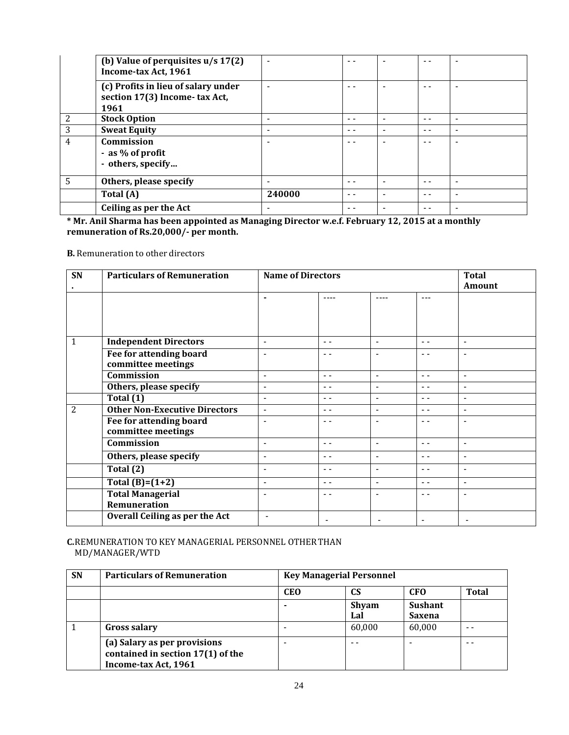|                 | (b) Value of perquisites $u/s 17(2)$<br>Income-tax Act, 1961                 |        | - -  |   | - -  |                          |
|-----------------|------------------------------------------------------------------------------|--------|------|---|------|--------------------------|
|                 | (c) Profits in lieu of salary under<br>section 17(3) Income-tax Act,<br>1961 |        | - -  |   | - -  |                          |
| 2               | <b>Stock Option</b>                                                          | -      | - -  |   | $ -$ | ۰                        |
| 3               | <b>Sweat Equity</b>                                                          |        | - -  |   | - -  | ۰                        |
| $\overline{4}$  | Commission<br>- as % of profit<br>- others, specify                          |        | - -  |   |      |                          |
| $5\overline{)}$ | Others, please specify                                                       | -      | - -  |   | $ -$ | -                        |
|                 | Total (A)                                                                    | 240000 | $ -$ | - | $ -$ | -                        |
|                 | Ceiling as per the Act                                                       |        | - -  |   | - -  | $\overline{\phantom{a}}$ |

**\* Mr. Anil Sharma has been appointed as Managing Director w.e.f. February 12, 2015 at a monthly remuneration of Rs.20,000/- per month.**

**B.** Remuneration to other directors

| SN             | <b>Particulars of Remuneration</b>   | <b>Name of Directors</b> |                | <b>Total</b>             |                |                          |
|----------------|--------------------------------------|--------------------------|----------------|--------------------------|----------------|--------------------------|
|                |                                      |                          |                |                          |                | Amount                   |
|                |                                      | $\overline{\phantom{0}}$ | ----           | ----                     | $---$          |                          |
|                |                                      |                          |                |                          |                |                          |
|                |                                      |                          |                |                          |                |                          |
|                |                                      |                          |                |                          |                |                          |
| 1              | <b>Independent Directors</b>         | $\overline{\phantom{0}}$ | $ -$           | $\blacksquare$           | $ -$           | $\blacksquare$           |
|                | Fee for attending board              |                          |                | $\overline{\phantom{0}}$ | $ -$           | ٠                        |
|                | committee meetings                   |                          |                |                          |                |                          |
|                | <b>Commission</b>                    | $\overline{a}$           | $ -$           | ۰                        | $ -$           | $\blacksquare$           |
|                | Others, please specify               | $\overline{\phantom{a}}$ | $ -$           | $\overline{\phantom{0}}$ | $ -$           | $\overline{\phantom{a}}$ |
|                | Total (1)                            | $\overline{\phantom{a}}$ | $ -$           | $\overline{\phantom{a}}$ | $ -$           | $\blacksquare$           |
| $\overline{2}$ | <b>Other Non-Executive Directors</b> | $\overline{a}$           | $ -$           | $\overline{\phantom{0}}$ | $ -$           | $\overline{\phantom{a}}$ |
|                | Fee for attending board              |                          | $ -$           | $\overline{\phantom{0}}$ | $ -$           | $\overline{\phantom{a}}$ |
|                | committee meetings                   |                          |                |                          |                |                          |
|                | Commission                           | $\blacksquare$           | $ -$           | $\overline{\phantom{a}}$ | $ -$           | $\overline{\phantom{a}}$ |
|                | Others, please specify               | $\blacksquare$           | $ -$           | $\overline{\phantom{a}}$ | $ -$           | $\overline{\phantom{a}}$ |
|                | Total (2)                            | ÷                        | $ -$           | ۰                        | $ -$           | $\blacksquare$           |
|                | Total $(B)=(1+2)$                    | $\overline{\phantom{0}}$ | $ -$           | $\overline{\phantom{0}}$ | $ -$           | $\blacksquare$           |
|                | <b>Total Managerial</b>              |                          | $ -$           | $\overline{\phantom{0}}$ | $ -$           | $\overline{\phantom{a}}$ |
|                | Remuneration                         |                          |                |                          |                |                          |
|                | Overall Ceiling as per the Act       | $\overline{\phantom{a}}$ | $\blacksquare$ |                          | $\blacksquare$ |                          |

**C.**REMUNERATION TO KEY MANAGERIAL PERSONNEL OTHERTHAN MD/MANAGER/WTD

| <b>SN</b> | <b>Particulars of Remuneration</b>                                                        | <b>Key Managerial Personnel</b> |              |                          |              |  |  |
|-----------|-------------------------------------------------------------------------------------------|---------------------------------|--------------|--------------------------|--------------|--|--|
|           |                                                                                           | <b>CEO</b>                      | <b>CS</b>    | <b>CFO</b>               | <b>Total</b> |  |  |
|           |                                                                                           |                                 | Shyam<br>Lal | <b>Sushant</b><br>Saxena |              |  |  |
|           | <b>Gross salary</b>                                                                       |                                 | 60,000       | 60,000                   | - -          |  |  |
|           | (a) Salary as per provisions<br>contained in section 17(1) of the<br>Income-tax Act, 1961 |                                 |              | -                        | - -          |  |  |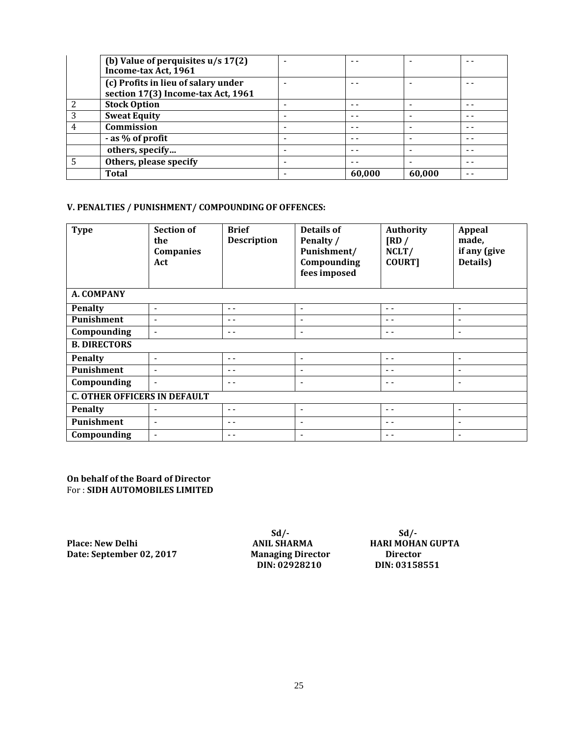|   | (b) Value of perquisites $u/s 17(2)$<br>Income-tax Act, 1961              |        | $\overline{\phantom{a}}$ |      |
|---|---------------------------------------------------------------------------|--------|--------------------------|------|
|   | (c) Profits in lieu of salary under<br>section 17(3) Income-tax Act, 1961 |        |                          |      |
|   | <b>Stock Option</b>                                                       | - -    | $\overline{\phantom{a}}$ | - -  |
| 3 | <b>Sweat Equity</b>                                                       | $ -$   | $\overline{\phantom{a}}$ | - -  |
|   | Commission                                                                | - -    | -                        | $ -$ |
|   | - as % of profit                                                          |        | -                        | - -  |
|   | others, specify                                                           |        | $\overline{\phantom{a}}$ | - -  |
|   | Others, please specify                                                    | - -    | $\overline{\phantom{a}}$ | - -  |
|   | <b>Total</b>                                                              | 60,000 | 60,000                   | - -  |

# **V. PENALTIES / PUNISHMENT/ COMPOUNDING OF OFFENCES:**

| <b>Type</b>                         | <b>Section of</b><br>the<br>Companies<br>Act | <b>Brief</b><br><b>Description</b> | <b>Details of</b><br>Penalty /<br>Punishment/<br>Compounding<br>fees imposed | <b>Authority</b><br>$\overline{\text{RD}}$ /<br>NCLT/<br><b>COURT]</b> | <b>Appeal</b><br>made,<br>if any (give<br>Details) |
|-------------------------------------|----------------------------------------------|------------------------------------|------------------------------------------------------------------------------|------------------------------------------------------------------------|----------------------------------------------------|
| A. COMPANY                          |                                              |                                    |                                                                              |                                                                        |                                                    |
| Penalty                             | $\overline{\phantom{a}}$                     | $ -$                               | $\blacksquare$                                                               | $ -$                                                                   | $\overline{\phantom{a}}$                           |
| Punishment                          | $\overline{\phantom{a}}$                     | $ -$                               | $\overline{\phantom{a}}$                                                     | - -                                                                    | $\overline{\phantom{a}}$                           |
| Compounding                         | $\overline{\phantom{a}}$                     | $ -$                               | $\overline{\phantom{a}}$                                                     | - -                                                                    | $\overline{\phantom{a}}$                           |
| <b>B. DIRECTORS</b>                 |                                              |                                    |                                                                              |                                                                        |                                                    |
| <b>Penalty</b>                      | $\overline{\phantom{a}}$                     | $ -$                               | $\overline{\phantom{a}}$                                                     | $ -$                                                                   | $\overline{\phantom{a}}$                           |
| Punishment                          | $\overline{\phantom{a}}$                     | $ -$                               | $\overline{\phantom{a}}$                                                     | $ -$                                                                   | $\overline{\phantom{a}}$                           |
| Compounding                         | $\overline{\phantom{a}}$                     | $ -$                               | $\overline{\phantom{a}}$                                                     | $ -$                                                                   | ۰                                                  |
| <b>C. OTHER OFFICERS IN DEFAULT</b> |                                              |                                    |                                                                              |                                                                        |                                                    |
| <b>Penalty</b>                      | $\overline{\phantom{a}}$                     | $ -$                               | $\overline{\phantom{a}}$                                                     | - -                                                                    | $\overline{\phantom{a}}$                           |
| Punishment                          | $\overline{\phantom{a}}$                     | $ -$                               | $\overline{\phantom{a}}$                                                     | - -                                                                    | $\overline{\phantom{a}}$                           |
| Compounding                         | $\overline{\phantom{a}}$                     | $ -$                               | $\overline{\phantom{a}}$                                                     | $ -$                                                                   | $\overline{\phantom{a}}$                           |

**On behalf of the Board of Director** For : **SIDH AUTOMOBILES LIMITED**

**Place: New Delhi**

**Sd/- ANIL SHARMA Date: September 02, 2017 Managing Director Director Director DIN: 02928210 DIN: 03158551 DIN: 02928210 DIN: 03158551**

**Sd/- HARI MOHAN GUPTA**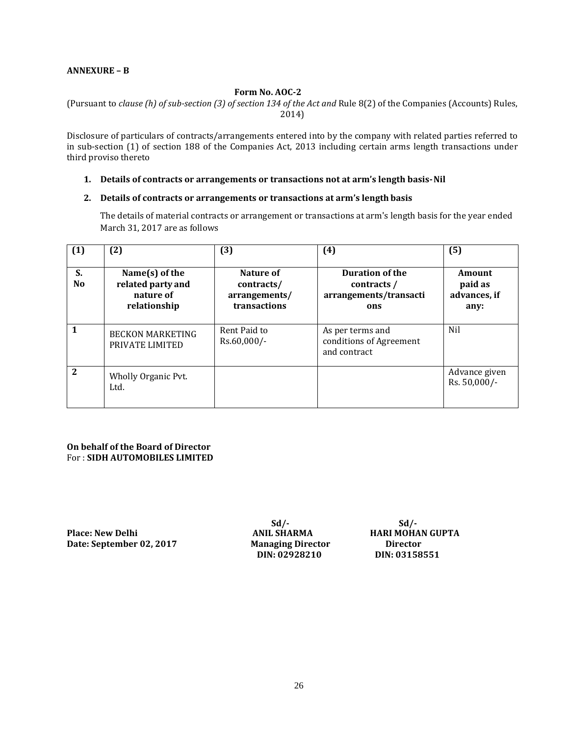#### **ANNEXURE – B**

# **Form No. AOC-2**

(Pursuant to *clause (h) of sub-section (3) of section 134 of the Act and* Rule 8(2) of the Companies (Accounts) Rules, 2014)

Disclosure of particulars of contracts/arrangements entered into by the company with related parties referred to in sub-section (1) of section 188 of the Companies Act, 2013 including certain arms length transactions under third proviso thereto

#### **1. Details of contracts or arrangements or transactions not at arm's length basis-Nil**

#### **2. Details of contracts or arrangements or transactions at arm's length basis**

The details of material contracts or arrangement or transactions at arm's length basis for the year ended March 31, 2017 are as follows

| (1)                  | (2)                                                                 | (3)                                                      | (4)                                                                    | (5)                                       |
|----------------------|---------------------------------------------------------------------|----------------------------------------------------------|------------------------------------------------------------------------|-------------------------------------------|
| S.<br>N <sub>0</sub> | Name $(s)$ of the<br>related party and<br>nature of<br>relationship | Nature of<br>contracts/<br>arrangements/<br>transactions | <b>Duration of the</b><br>contracts /<br>arrangements/transacti<br>ons | Amount<br>paid as<br>advances, if<br>any: |
|                      | <b>BECKON MARKETING</b><br>PRIVATE LIMITED                          | Rent Paid to<br>$Rs.60,000/-$                            | As per terms and<br>conditions of Agreement<br>and contract            | Nil                                       |
| $\mathbf{2}$         | Wholly Organic Pvt.<br>Ltd.                                         |                                                          |                                                                        | Advance given<br>Rs. 50,000/-             |

**On behalf of the Board of Director** For : **SIDH AUTOMOBILES LIMITED**

**Place: New Delhi Date: September 02, 2017 Managing Director Director** 

**Sd/- ANIL SHARMA DIN: 02928210 DIN: 03158551**

**Sd/- HARI MOHAN GUPTA**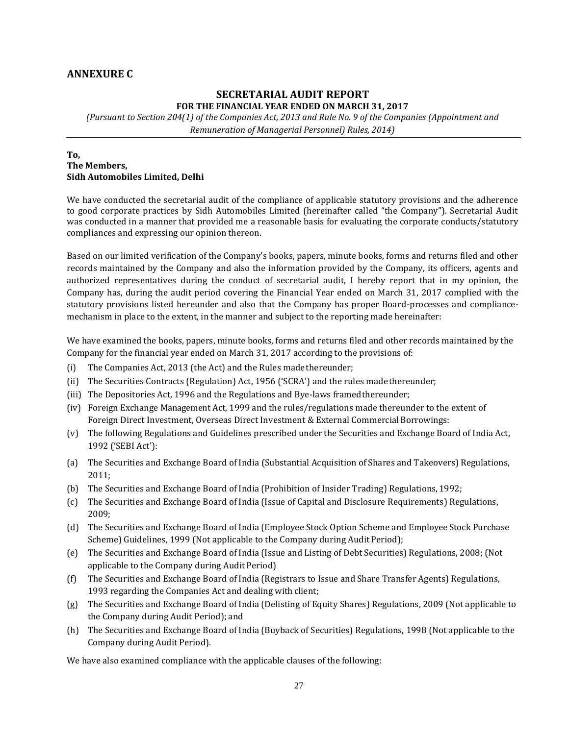# **ANNEXURE C**

#### **SECRETARIAL AUDIT REPORT FOR THE FINANCIAL YEAR ENDED ON MARCH 31, 2017**

*(Pursuant to Section 204(1) of the Companies Act, 2013 and Rule No. 9 of the Companies (Appointment and Remuneration of Managerial Personnel) Rules, 2014)*

#### **To, The Members, Sidh Automobiles Limited, Delhi**

We have conducted the secretarial audit of the compliance of applicable statutory provisions and the adherence to good corporate practices by Sidh Automobiles Limited (hereinafter called "the Company"). Secretarial Audit was conducted in a manner that provided me a reasonable basis for evaluating the corporate conducts/statutory compliances and expressing our opinion thereon.

Based on our limited verification of the Company's books, papers, minute books, forms and returns filed and other records maintained by the Company and also the information provided by the Company, its officers, agents and authorized representatives during the conduct of secretarial audit, I hereby report that in my opinion, the Company has, during the audit period covering the Financial Year ended on March 31, 2017 complied with the statutory provisions listed hereunder and also that the Company has proper Board-processes and compliancemechanism in place to the extent, in the manner and subject to the reporting made hereinafter:

We have examined the books, papers, minute books, forms and returns filed and other records maintained by the Company for the financial year ended on March 31, 2017 according to the provisions of:

- (i) The Companies Act, 2013 (the Act) and the Rules madethereunder;
- (ii) The Securities Contracts (Regulation) Act, 1956 ('SCRA') and the rules madethereunder;
- (iii) The Depositories Act, 1996 and the Regulations and Bye-laws framedthereunder;
- (iv) Foreign Exchange Management Act, 1999 and the rules/regulations made thereunder to the extent of Foreign Direct Investment, Overseas Direct Investment & External Commercial Borrowings:
- (v) The following Regulations and Guidelines prescribed under the Securities and Exchange Board of India Act, 1992 ('SEBI Act'):
- (a) The Securities and Exchange Board of India (Substantial Acquisition of Shares and Takeovers) Regulations, 2011;
- (b) The Securities and Exchange Board of India (Prohibition of Insider Trading) Regulations,1992;
- (c) The Securities and Exchange Board of India (Issue of Capital and Disclosure Requirements) Regulations, 2009;
- (d) The Securities and Exchange Board of India (Employee Stock Option Scheme and Employee Stock Purchase Scheme) Guidelines, 1999 (Not applicable to the Company during Audit Period);
- (e) The Securities and Exchange Board of India (Issue and Listing of Debt Securities) Regulations, 2008; (Not applicable to the Company during Audit Period)
- (f) The Securities and Exchange Board of India (Registrars to Issue and Share Transfer Agents) Regulations, 1993 regarding the Companies Act and dealing with client;
- (g) The Securities and Exchange Board of India (Delisting of Equity Shares) Regulations, 2009 (Not applicable to the Company during Audit Period); and
- (h) The Securities and Exchange Board of India (Buyback of Securities) Regulations, 1998 (Not applicable to the Company during Audit Period).

We have also examined compliance with the applicable clauses of the following: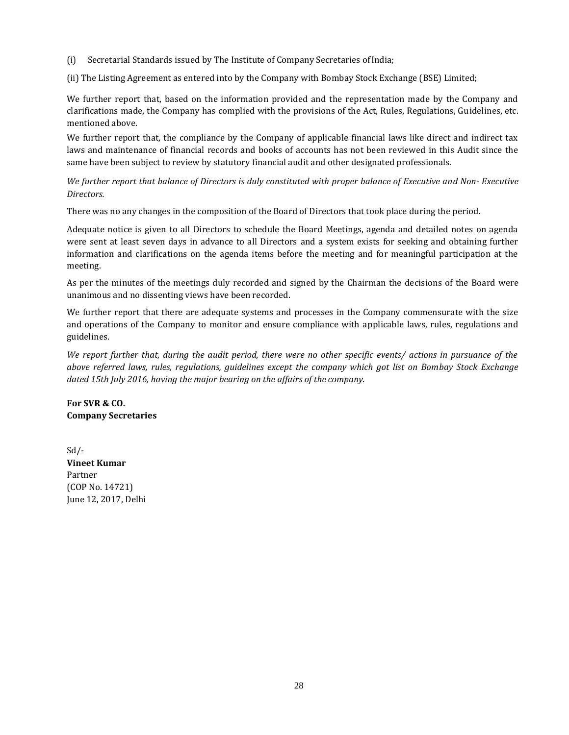(i) Secretarial Standards issued by The Institute of Company Secretaries ofIndia;

(ii) The Listing Agreement as entered into by the Company with Bombay Stock Exchange (BSE) Limited;

We further report that, based on the information provided and the representation made by the Company and clarifications made, the Company has complied with the provisions of the Act, Rules, Regulations, Guidelines, etc. mentioned above.

We further report that, the compliance by the Company of applicable financial laws like direct and indirect tax laws and maintenance of financial records and books of accounts has not been reviewed in this Audit since the same have been subject to review by statutory financial audit and other designated professionals.

*We further report that balance of Directors is duly constituted with proper balance of Executive and Non- Executive Directors.*

There was no any changes in the composition of the Board of Directors that took place during the period.

Adequate notice is given to all Directors to schedule the Board Meetings, agenda and detailed notes on agenda were sent at least seven days in advance to all Directors and a system exists for seeking and obtaining further information and clarifications on the agenda items before the meeting and for meaningful participation at the meeting.

As per the minutes of the meetings duly recorded and signed by the Chairman the decisions of the Board were unanimous and no dissenting views have been recorded.

We further report that there are adequate systems and processes in the Company commensurate with the size and operations of the Company to monitor and ensure compliance with applicable laws, rules, regulations and guidelines.

*We report further that, during the audit period, there were no other specific events/ actions in pursuance of the above referred laws, rules, regulations, guidelines except the company which got list on Bombay Stock Exchange dated 15th July 2016, having the major bearing on the affairs of the company.*

**For SVR & CO. Company Secretaries**

 $Sd$  /-**Vineet Kumar** Partner (COP No. 14721) June 12, 2017, Delhi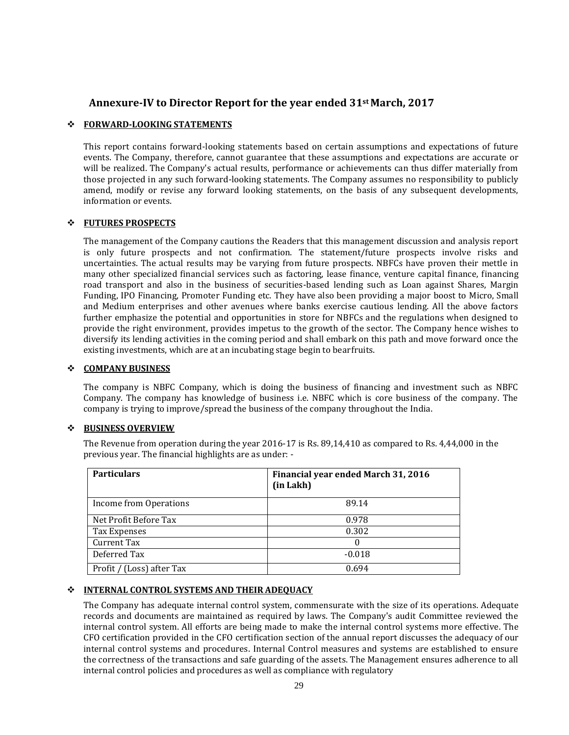# **Annexure-IV to Director Report for the year ended 31st March, 2017**

# **FORWARD-LOOKING STATEMENTS**

This report contains forward-looking statements based on certain assumptions and expectations of future events. The Company, therefore, cannot guarantee that these assumptions and expectations are accurate or will be realized. The Company's actual results, performance or achievements can thus differ materially from those projected in any such forward-looking statements. The Company assumes no responsibility to publicly amend, modify or revise any forward looking statements, on the basis of any subsequent developments, information or events.

#### **FUTURES PROSPECTS**

The management of the Company cautions the Readers that this management discussion and analysis report is only future prospects and not confirmation. The statement/future prospects involve risks and uncertainties. The actual results may be varying from future prospects. NBFCs have proven their mettle in many other specialized financial services such as factoring, lease finance, venture capital finance, financing road transport and also in the business of securities-based lending such as Loan against Shares, Margin Funding, IPO Financing, Promoter Funding etc. They have also been providing a major boost to Micro, Small and Medium enterprises and other avenues where banks exercise cautious lending. All the above factors further emphasize the potential and opportunities in store for NBFCs and the regulations when designed to provide the right environment, provides impetus to the growth of the sector. The Company hence wishes to diversify its lending activities in the coming period and shall embark on this path and move forward once the existing investments, which are at an incubating stage begin to bearfruits.

#### **COMPANY BUSINESS**

The company is NBFC Company, which is doing the business of financing and investment such as NBFC Company. The company has knowledge of business i.e. NBFC which is core business of the company. The company is trying to improve/spread the business of the company throughout the India.

# **BUSINESS OVERVIEW**

The Revenue from operation during the year 2016-17 is Rs. 89,14,410 as compared to Rs. 4,44,000 in the previous year. The financial highlights are as under: -

| <b>Particulars</b>        | Financial year ended March 31, 2016<br>(in Lakh) |
|---------------------------|--------------------------------------------------|
| Income from Operations    | 89.14                                            |
| Net Profit Before Tax     | 0.978                                            |
| Tax Expenses              | 0.302                                            |
| Current Tax               | 0                                                |
| Deferred Tax              | $-0.018$                                         |
| Profit / (Loss) after Tax | 0.694                                            |

#### **INTERNAL CONTROL SYSTEMS AND THEIR ADEQUACY**

The Company has adequate internal control system, commensurate with the size of its operations. Adequate records and documents are maintained as required by laws. The Company's audit Committee reviewed the internal control system. All efforts are being made to make the internal control systems more effective. The CFO certification provided in the CFO certification section of the annual report discusses the adequacy of our internal control systems and procedures. Internal Control measures and systems are established to ensure the correctness of the transactions and safe guarding of the assets. The Management ensures adherence to all internal control policies and procedures as well as compliance with regulatory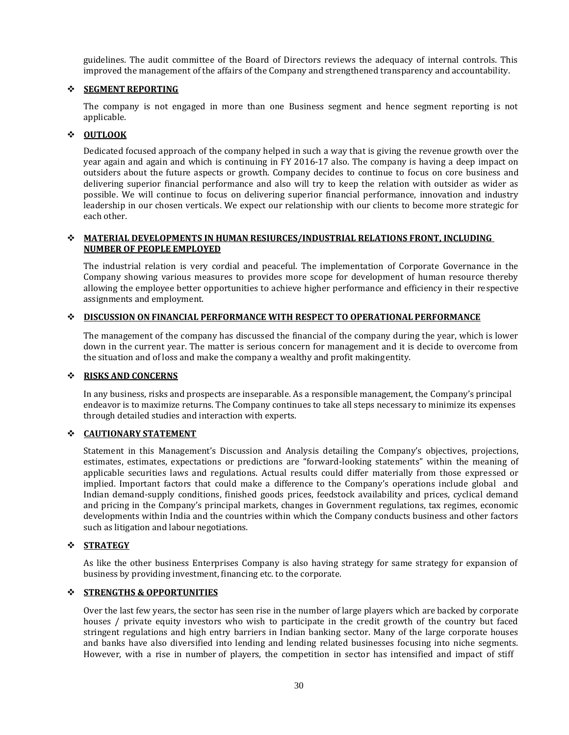guidelines. The audit committee of the Board of Directors reviews the adequacy of internal controls. This improved the management of the affairs of the Company and strengthened transparency and accountability.

#### **SEGMENT REPORTING**

The company is not engaged in more than one Business segment and hence segment reporting is not applicable.

# **OUTLOOK**

Dedicated focused approach of the company helped in such a way that is giving the revenue growth over the year again and again and which is continuing in FY 2016-17 also. The company is having a deep impact on outsiders about the future aspects or growth. Company decides to continue to focus on core business and delivering superior financial performance and also will try to keep the relation with outsider as wider as possible. We will continue to focus on delivering superior financial performance, innovation and industry leadership in our chosen verticals. We expect our relationship with our clients to become more strategic for each other.

#### **MATERIAL DEVELOPMENTS IN HUMAN RESIURCES/INDUSTRIAL RELATIONS FRONT, INCLUDING NUMBER OF PEOPLE EMPLOYED**

The industrial relation is very cordial and peaceful. The implementation of Corporate Governance in the Company showing various measures to provides more scope for development of human resource thereby allowing the employee better opportunities to achieve higher performance and efficiency in their respective assignments and employment.

### **DISCUSSION ON FINANCIAL PERFORMANCE WITH RESPECT TO OPERATIONAL PERFORMANCE**

The management of the company has discussed the financial of the company during the year, which is lower down in the current year. The matter is serious concern for management and it is decide to overcome from the situation and of loss and make the company a wealthy and profit makingentity.

#### **RISKS AND CONCERNS**

In any business, risks and prospects are inseparable. As a responsible management, the Company's principal endeavor is to maximize returns. The Company continues to take all steps necessary to minimize its expenses through detailed studies and interaction with experts.

# **CAUTIONARY STATEMENT**

Statement in this Management's Discussion and Analysis detailing the Company's objectives, projections, estimates, estimates, expectations or predictions are "forward-looking statements" within the meaning of applicable securities laws and regulations. Actual results could differ materially from those expressed or implied. Important factors that could make a difference to the Company's operations include global and Indian demand-supply conditions, finished goods prices, feedstock availability and prices, cyclical demand and pricing in the Company's principal markets, changes in Government regulations, tax regimes, economic developments within India and the countries within which the Company conducts business and other factors such as litigation and labour negotiations.

# **STRATEGY**

As like the other business Enterprises Company is also having strategy for same strategy for expansion of business by providing investment, financing etc. to the corporate.

# **STRENGTHS & OPPORTUNITIES**

Over the last few years, the sector has seen rise in the number of large players which are backed by corporate houses / private equity investors who wish to participate in the credit growth of the country but faced stringent regulations and high entry barriers in Indian banking sector. Many of the large corporate houses and banks have also diversified into lending and lending related businesses focusing into niche segments. However, with a rise in number of players, the competition in sector has intensified and impact of stiff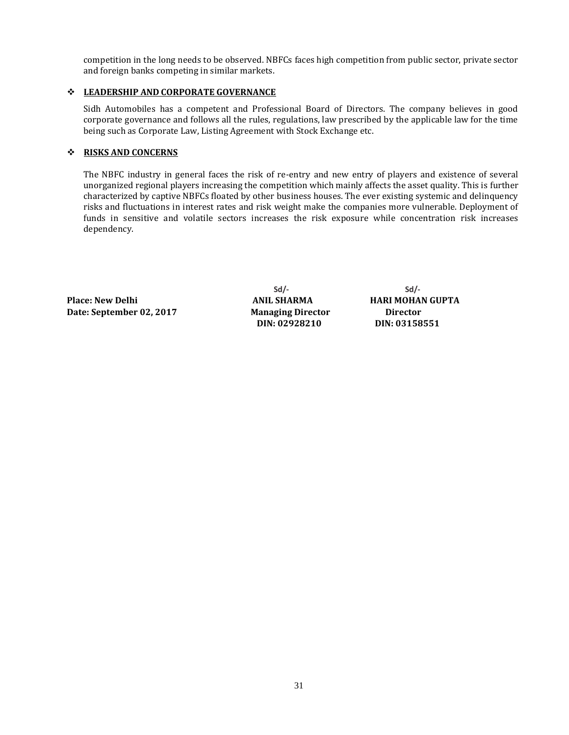competition in the long needs to be observed. NBFCs faces high competition from public sector, private sector and foreign banks competing in similar markets.

# **LEADERSHIP AND CORPORATE GOVERNANCE**

Sidh Automobiles has a competent and Professional Board of Directors. The company believes in good corporate governance and follows all the rules, regulations, law prescribed by the applicable law for the time being such as Corporate Law, Listing Agreement with Stock Exchange etc.

# **RISKS AND CONCERNS**

The NBFC industry in general faces the risk of re-entry and new entry of players and existence of several unorganized regional players increasing the competition which mainly affects the asset quality. This is further characterized by captive NBFCs floated by other business houses. The ever existing systemic and delinquency risks and fluctuations in interest rates and risk weight make the companies more vulnerable. Deployment of funds in sensitive and volatile sectors increases the risk exposure while concentration risk increases dependency.

**Place: New Delhi Date: September 02, 2017 Managing Director** 

**Sd/- ANIL SHARMA DIN: 02928210**

**Sd/- HARI MOHAN GUPTA Director DIN: 03158551**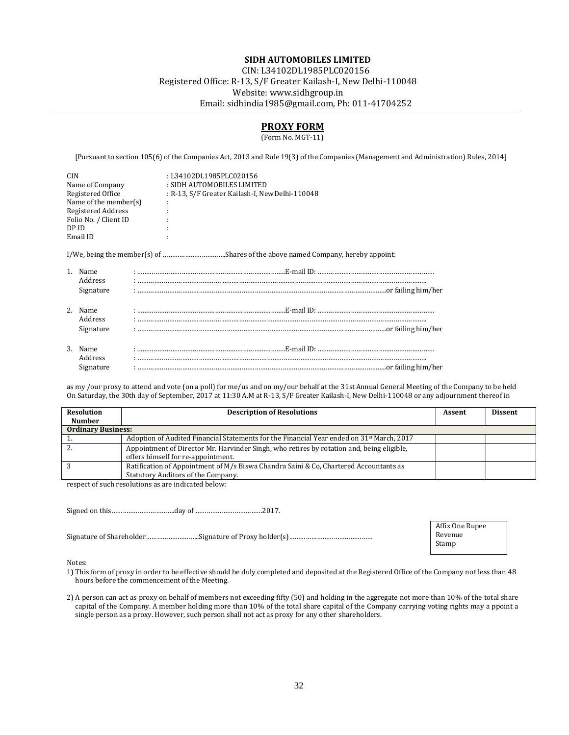#### **SIDH AUTOMOBILES LIMITED**

CIN: L34102DL1985PLC020156

Registered Office: R-13, S/F Greater Kailash-I, New Delhi-110048 Website[: www.sidhgroup.in](http://www.sidhgroup.in/) Email[: sidhindia1985@gmail.com, P](mailto:sidhindia1985@gmail.com)h: 011-41704252

# **PROXY FORM**

(Form No. MGT-11)

[Pursuant to section 105(6) of the Companies Act, 2013 and Rule 19(3) of the Companies (Management and Administration) Rules, 2014]

| <b>CIN</b>               | :L34102DL1985PLC020156                          |
|--------------------------|-------------------------------------------------|
| Name of Company          | : SIDH AUTOMOBILES LIMITED                      |
| Registered Office        | : R-13, S/F Greater Kailash-I, New Delhi-110048 |
| Name of the member $(s)$ |                                                 |
| Registered Address       |                                                 |
| Folio No. / Client ID    |                                                 |
| DP ID                    |                                                 |
| Email ID                 |                                                 |
|                          |                                                 |
|                          |                                                 |

|         | 1. Name   |  |
|---------|-----------|--|
|         | Address   |  |
|         | Signature |  |
|         |           |  |
|         | 2. Name   |  |
|         | Address   |  |
|         | Signature |  |
|         |           |  |
|         | 3. Name   |  |
| Address |           |  |
|         | Signature |  |

as my /our proxy to attend and vote (on a poll) for me/us and on my/our behalf at the 31stAnnual General Meeting of the Company to be held On Saturday, the 30th day of September, 2017 at 11:30 A.M at R-13, S/F Greater Kailash-I, New Delhi-110048 or any adjournment thereof in

| <b>Resolution</b><br><b>Number</b> | <b>Description of Resolutions</b>                                                                                               | Assent | <b>Dissent</b> |
|------------------------------------|---------------------------------------------------------------------------------------------------------------------------------|--------|----------------|
| <b>Ordinary Business:</b>          |                                                                                                                                 |        |                |
|                                    | Adoption of Audited Financial Statements for the Financial Year ended on $31^{st}$ March, 2017                                  |        |                |
| <u>.</u>                           | Appointment of Director Mr. Harvinder Singh, who retires by rotation and, being eligible,<br>offers himself for re-appointment. |        |                |
|                                    | Ratification of Appointment of M/s Biswa Chandra Saini & Co, Chartered Accountants as<br>Statutory Auditors of the Company.     |        |                |

respect of such resolutions as are indicated below:

Signed on this…………………………….day of ………………………………2017.

Signature of Shareholder………………………..Signature of Proxy holder(s)………………………………………

Affix One Rupee Revenue Stamp

Notes:

1) This form of proxy in order to be effective should be duly completed and deposited at the Registered Office of the Company not less than 48 hours before the commencement of the Meeting.

2) A person can act as proxy on behalf of members not exceeding fifty (50) and holding in the aggregate not more than 10% of the total share capital of the Company. A member holding more than 10% of the total share capital of the Company carrying voting rights may a ppoint a single person as a proxy. However, such person shall not act as proxy for any other shareholders.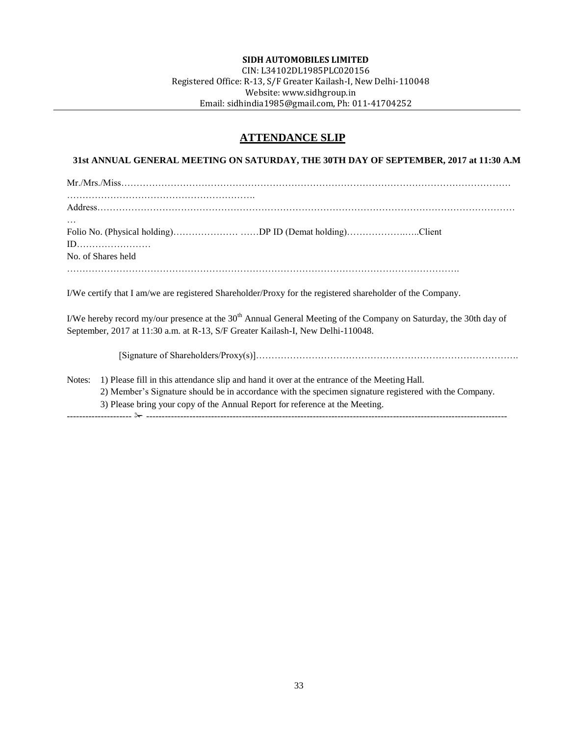#### **SIDH AUTOMOBILES LIMITED**

CIN: L34102DL1985PLC020156 Registered Office: R-13, S/F Greater Kailash-I, New Delhi-110048 Website: [www.sidhgroup.in](http://www.sidhgroup.in/) Email[: sidhindia1985@gmail.com, P](mailto:sidhindia1985@gmail.com)h: 011-41704252

# **ATTENDANCE SLIP**

# **31st ANNUAL GENERAL MEETING ON SATURDAY, THE 30TH DAY OF SEPTEMBER, 2017 at 11:30 A.M**

| $\cdots$           |                                                         |  |
|--------------------|---------------------------------------------------------|--|
|                    | Folio No. (Physical holding)DP ID (Demat holding)Client |  |
|                    |                                                         |  |
| No. of Shares held |                                                         |  |
|                    |                                                         |  |
|                    |                                                         |  |

I/We certify that I am/we are registered Shareholder/Proxy for the registered shareholder of the Company.

I/We hereby record my/our presence at the  $30<sup>th</sup>$  Annual General Meeting of the Company on Saturday, the 30th day of September, 2017 at 11:30 a.m. at R-13, S/F Greater Kailash-I, New Delhi-110048.

[Signature of Shareholders/Proxy(s)]………………………………………………………………………….

Notes: 1) Please fill in this attendance slip and hand it over at the entrance of the Meeting Hall. 2) Member's Signature should be in accordance with the specimen signature registered with the Company. 3) Please bring your copy of the Annual Report for reference at the Meeting. --------------------- ✁ ---------------------------------------------------------------------------------------------------------------------